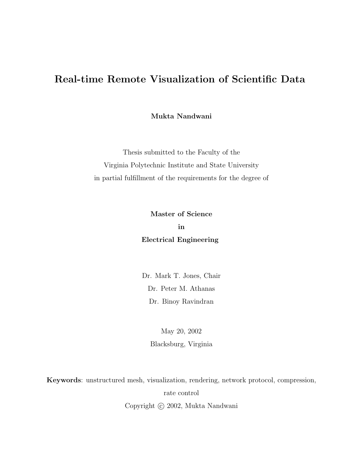## Real-time Remote Visualization of Scientific Data

Mukta Nandwani

Thesis submitted to the Faculty of the Virginia Polytechnic Institute and State University in partial fulfillment of the requirements for the degree of

> Master of Science in Electrical Engineering

Dr. Mark T. Jones, Chair Dr. Peter M. Athanas Dr. Binoy Ravindran

> May 20, 2002 Blacksburg, Virginia

Keywords: unstructured mesh, visualization, rendering, network protocol, compression, rate control Copyright  $\odot$  2002, Mukta Nandwani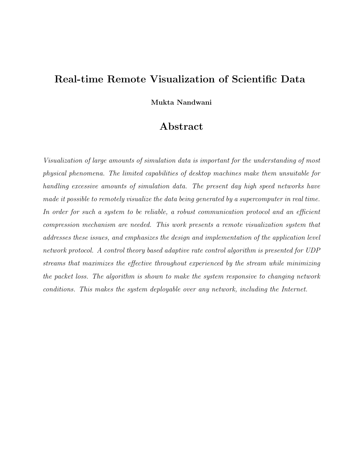## Real-time Remote Visualization of Scientific Data

Mukta Nandwani

### Abstract

Visualization of large amounts of simulation data is important for the understanding of most physical phenomena. The limited capabilities of desktop machines make them unsuitable for handling excessive amounts of simulation data. The present day high speed networks have made it possible to remotely visualize the data being generated by a supercomputer in real time. In order for such a system to be reliable, a robust communication protocol and an efficient compression mechanism are needed. This work presents a remote visualization system that addresses these issues, and emphasizes the design and implementation of the application level network protocol. A control theory based adaptive rate control algorithm is presented for UDP streams that maximizes the effective throughout experienced by the stream while minimizing the packet loss. The algorithm is shown to make the system responsive to changing network conditions. This makes the system deployable over any network, including the Internet.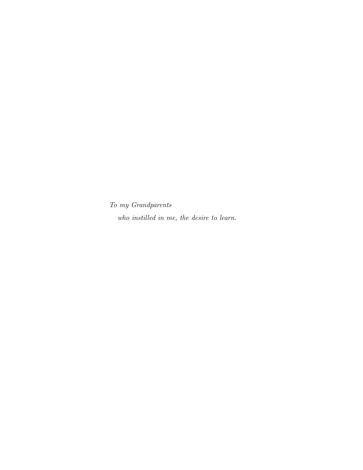To my Grandparents

who instilled in me, the desire to learn.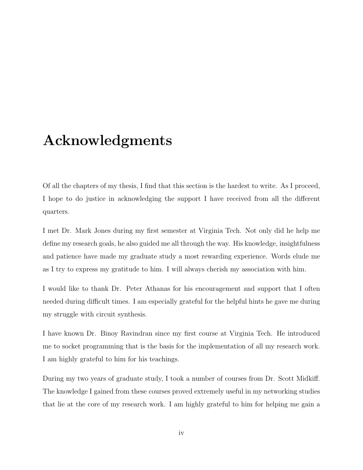## <span id="page-3-0"></span>Acknowledgments

<span id="page-3-1"></span>Of all the chapters of my thesis, I find that this section is the hardest to write. As I proceed, I hope to do justice in acknowledging the support I have received from all the different quarters.

I met Dr. Mark Jones during my first semester at Virginia Tech. Not only did he help me define my research goals, he also guided me all through the way. His knowledge, insightfulness and patience have made my graduate study a most rewarding experience. Words elude me as I try to express my gratitude to him. I will always cherish my association with him.

I would like to thank Dr. Peter Athanas for his encouragement and support that I often needed during difficult times. I am especially grateful for the helpful hints he gave me during my struggle with circuit synthesis.

I have known Dr. Binoy Ravindran since my first course at Virginia Tech. He introduced me to socket programming that is the basis for the implementation of all my research work. I am highly grateful to him for his teachings.

During my two years of graduate study, I took a number of courses from Dr. Scott Midkiff. The knowledge I gained from these courses proved extremely useful in my networking studies that lie at the core of my research work. I am highly grateful to him for helping me gain a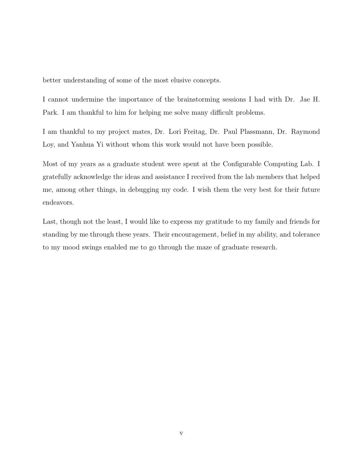better understanding of some of the most elusive concepts.

I cannot undermine the importance of the brainstorming sessions I had with Dr. Jae H. Park. I am thankful to him for helping me solve many difficult problems.

I am thankful to my project mates, Dr. Lori Freitag, Dr. Paul Plassmann, Dr. Raymond Loy, and Yanhua Yi without whom this work would not have been possible.

Most of my years as a graduate student were spent at the Configurable Computing Lab. I gratefully acknowledge the ideas and assistance I received from the lab members that helped me, among other things, in debugging my code. I wish them the very best for their future endeavors.

Last, though not the least, I would like to express my gratitude to my family and friends for standing by me through these years. Their encouragement, belief in my ability, and tolerance to my mood swings enabled me to go through the maze of graduate research.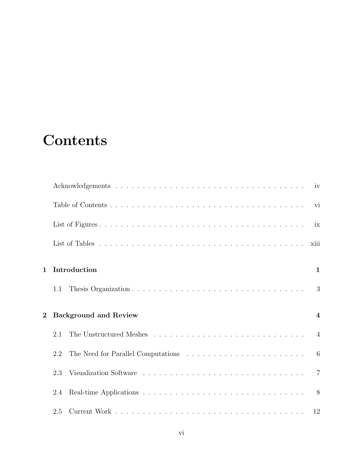# **Contents**

<span id="page-5-0"></span>

|                |                                                                                                        | ix               |
|----------------|--------------------------------------------------------------------------------------------------------|------------------|
|                |                                                                                                        | xiii             |
| 1              | Introduction                                                                                           | $\mathbf{1}$     |
|                | 1.1                                                                                                    | 3                |
| $\overline{2}$ | <b>Background and Review</b>                                                                           | $\boldsymbol{4}$ |
|                | The Unstructured Meshes $\ldots \ldots \ldots \ldots \ldots \ldots \ldots \ldots \ldots \ldots$<br>2.1 |                  |
|                | 2.2                                                                                                    |                  |
|                | 2.3                                                                                                    |                  |
|                | 2.4                                                                                                    |                  |
|                | 2.5                                                                                                    |                  |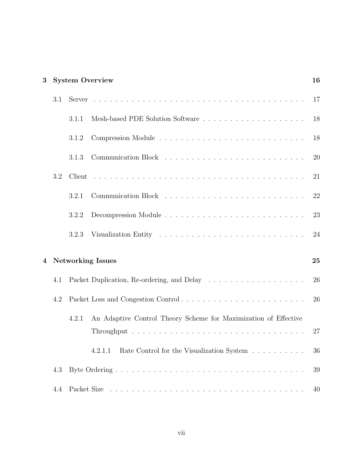| 3 |     |       | <b>System Overview</b>                                          | 16 |
|---|-----|-------|-----------------------------------------------------------------|----|
|   | 3.1 |       |                                                                 | 17 |
|   |     | 3.1.1 |                                                                 | 18 |
|   |     | 3.1.2 |                                                                 | 18 |
|   |     | 3.1.3 |                                                                 | 20 |
|   | 3.2 |       |                                                                 | 21 |
|   |     | 3.2.1 |                                                                 | 22 |
|   |     | 3.2.2 |                                                                 | 23 |
|   |     | 3.2.3 |                                                                 | 24 |
| 4 |     |       | <b>Networking Issues</b>                                        | 25 |
|   | 4.1 |       |                                                                 | 26 |
|   | 4.2 |       | Packet Loss and Congestion Control                              | 26 |
|   |     | 4.2.1 | An Adaptive Control Theory Scheme for Maximization of Effective | 27 |
|   |     |       | Rate Control for the Visualization System<br>4.2.1.1            | 36 |
|   | 4.3 |       |                                                                 | 39 |
|   | 4.4 |       |                                                                 | 40 |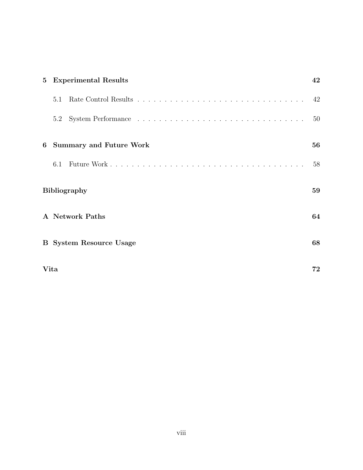| $5\overline{)}$ | <b>Experimental Results</b> |                                | 42 |
|-----------------|-----------------------------|--------------------------------|----|
|                 | 5.1                         |                                | 42 |
|                 | 5.2                         |                                | 50 |
| 6               |                             | <b>Summary and Future Work</b> | 56 |
|                 | 6.1                         |                                | 58 |
|                 |                             | <b>Bibliography</b>            | 59 |
|                 | A Network Paths             |                                |    |
|                 |                             | <b>B</b> System Resource Usage | 68 |
|                 | Vita<br>72                  |                                |    |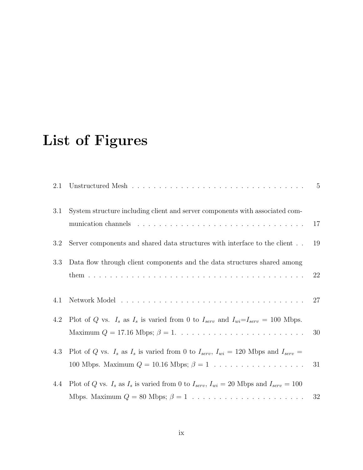# List of Figures

<span id="page-8-0"></span>

| 2.1 | Unstructured Mesh $\ldots \ldots \ldots \ldots \ldots \ldots \ldots \ldots \ldots \ldots$                                                                                                         |        |
|-----|---------------------------------------------------------------------------------------------------------------------------------------------------------------------------------------------------|--------|
| 3.1 | System structure including client and server components with associated com-                                                                                                                      | 17     |
| 3.2 | Server components and shared data structures with interface to the client                                                                                                                         | 19     |
| 3.3 | Data flow through client components and the data structures shared among                                                                                                                          | 22     |
| 4.1 |                                                                                                                                                                                                   | 27     |
| 4.2 | Plot of Q vs. $I_s$ as $I_s$ is varied from 0 to $I_{serv}$ and $I_{wi} = I_{serv} = 100$ Mbps.<br>Maximum $Q = 17.16$ Mbps; $\beta = 1. \ldots \ldots \ldots \ldots \ldots \ldots \ldots \ldots$ | 30     |
| 4.3 | Plot of Q vs. $I_s$ as $I_s$ is varied from 0 to $I_{serv}$ , $I_{wi} = 120$ Mbps and $I_{serv} =$                                                                                                | 31     |
| 4.4 | Plot of Q vs. $I_s$ as $I_s$ is varied from 0 to $I_{serv}$ , $I_{wi} = 20$ Mbps and $I_{serv} = 100$                                                                                             | $32\,$ |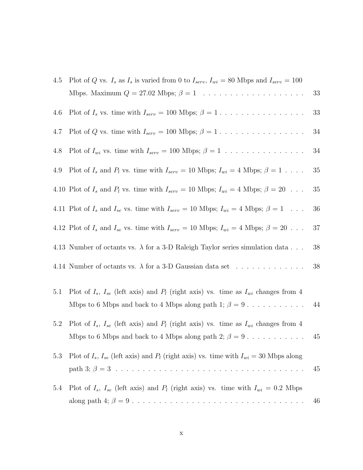| 4.5 | Plot of Q vs. $I_s$ as $I_s$ is varied from 0 to $I_{serv}$ , $I_{wi} = 80$ Mbps and $I_{serv} = 100$    |     |
|-----|----------------------------------------------------------------------------------------------------------|-----|
|     |                                                                                                          | 33  |
| 4.6 |                                                                                                          | 33  |
| 4.7 | Plot of Q vs. time with $I_{serv} = 100$ Mbps; $\beta = 1 \ldots \ldots \ldots \ldots \ldots$            | 34  |
| 4.8 | Plot of $I_{wi}$ vs. time with $I_{serv} = 100$ Mbps; $\beta = 1$                                        | 34  |
| 4.9 | Plot of $I_s$ and $P_l$ vs. time with $I_{serv} = 10$ Mbps; $I_{wi} = 4$ Mbps; $\beta = 1$               | 35  |
|     | 4.10 Plot of $I_s$ and $P_l$ vs. time with $I_{serv} = 10$ Mbps; $I_{wi} = 4$ Mbps; $\beta = 20$         | 35  |
|     | 4.11 Plot of $I_s$ and $I_{se}$ vs. time with $I_{serv} = 10$ Mbps; $I_{wi} = 4$ Mbps; $\beta = 1 \dots$ | 36  |
|     | 4.12 Plot of $I_s$ and $I_{se}$ vs. time with $I_{serv} = 10$ Mbps; $I_{wi} = 4$ Mbps; $\beta = 20$      | 37  |
|     | 4.13 Number of octants vs. $\lambda$ for a 3-D Raleigh Taylor series simulation data                     | 38  |
|     | 4.14 Number of octants vs. $\lambda$ for a 3-D Gaussian data set                                         | 38  |
| 5.1 | Plot of $I_s$ , $I_{se}$ (left axis) and $P_l$ (right axis) vs. time as $I_{wi}$ changes from 4          |     |
|     | Mbps to 6 Mbps and back to 4 Mbps along path 1; $\beta = 9$                                              | 44  |
| 5.2 | Plot of $I_s$ , $I_{se}$ (left axis) and $P_l$ (right axis) vs. time as $I_{wi}$ changes from 4          |     |
|     | Mbps to 6 Mbps and back to 4 Mbps along path 2; $\beta = 9$                                              | -45 |
| 5.3 | Plot of $I_s$ , $I_{se}$ (left axis) and $P_l$ (right axis) vs. time with $I_{wi} = 30$ Mbps along       | 45  |
| 5.4 | Plot of $I_s$ , $I_{se}$ (left axis) and $P_l$ (right axis) vs. time with $I_{wi} = 0.2$ Mbps            |     |
|     |                                                                                                          | 46  |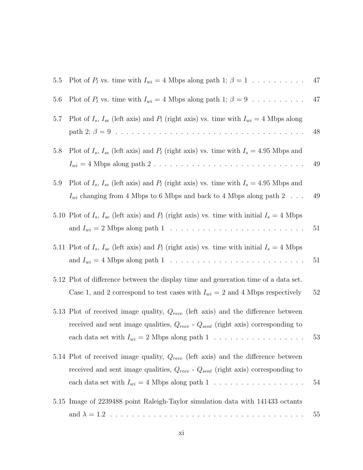| 5.5 | Plot of $P_l$ vs. time with $I_{wi} = 4$ Mbps along path 1; $\beta = 1$                                                                                                                                                                 | 47 |
|-----|-----------------------------------------------------------------------------------------------------------------------------------------------------------------------------------------------------------------------------------------|----|
| 5.6 | Plot of $P_l$ vs. time with $I_{wi} = 4$ Mbps along path 1; $\beta = 9$                                                                                                                                                                 | 47 |
| 5.7 | Plot of $I_s$ , $I_{se}$ (left axis) and $P_l$ (right axis) vs. time with $I_{wi} = 4$ Mbps along                                                                                                                                       | 48 |
| 5.8 | Plot of $I_s$ , $I_{se}$ (left axis) and $P_l$ (right axis) vs. time with $I_s = 4.95$ Mbps and                                                                                                                                         | 49 |
| 5.9 | Plot of $I_s$ , $I_{se}$ (left axis) and $P_l$ (right axis) vs. time with $I_s = 4.95$ Mbps and<br>$I_{wi}$ changing from 4 Mbps to 6 Mbps and back to 4 Mbps along path 2                                                              | 49 |
|     | 5.10 Plot of $I_s$ , $I_{se}$ (left axis) and $P_l$ (right axis) vs. time with initial $I_s = 4$ Mbps                                                                                                                                   | 51 |
|     | 5.11 Plot of $I_s$ , $I_{se}$ (left axis) and $P_l$ (right axis) vs. time with initial $I_s = 4$ Mbps                                                                                                                                   | 51 |
|     | 5.12 Plot of difference between the display time and generation time of a data set.<br>Case 1, and 2 correspond to test cases with $I_{wi} = 2$ and 4 Mbps respectively                                                                 | 52 |
|     | 5.13 Plot of received image quality, $Q_{recv}$ (left axis) and the difference between<br>received and sent image qualities, $Q_{recv}$ - $Q_{sent}$ (right axis) corresponding to<br>each data set with $I_{wi} = 2$ Mbps along path 1 | 53 |
|     | 5.14 Plot of received image quality, $Q_{recv}$ (left axis) and the difference between<br>received and sent image qualities, $Q_{recv}$ - $Q_{sent}$ (right axis) corresponding to<br>each data set with $I_{wi} = 4$ Mbps along path 1 | 54 |
|     | 5.15 Image of 2239488 point Raleigh-Taylor simulation data with 141433 octants                                                                                                                                                          | 55 |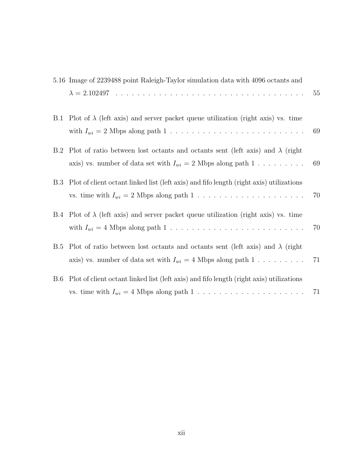|            | 5.16 Image of 2239488 point Raleigh-Taylor simulation data with 4096 octants and                                                                         |    |
|------------|----------------------------------------------------------------------------------------------------------------------------------------------------------|----|
|            |                                                                                                                                                          | 55 |
| B.1        | Plot of $\lambda$ (left axis) and server packet queue utilization (right axis) vs. time                                                                  | 69 |
| B.2        | Plot of ratio between lost octants and octants sent (left axis) and $\lambda$ (right<br>axis) vs. number of data set with $I_{wi} = 2$ Mbps along path 1 | 69 |
| <b>B.3</b> | Plot of client octant linked list (left axis) and fifo length (right axis) utilizations                                                                  | 70 |
|            | B.4 Plot of $\lambda$ (left axis) and server packet queue utilization (right axis) vs. time                                                              | 70 |
| <b>B.5</b> | Plot of ratio between lost octants and octants sent (left axis) and $\lambda$ (right<br>axis) vs. number of data set with $I_{wi} = 4$ Mbps along path 1 | 71 |
| B.6        | Plot of client octant linked list (left axis) and fifo length (right axis) utilizations                                                                  | 71 |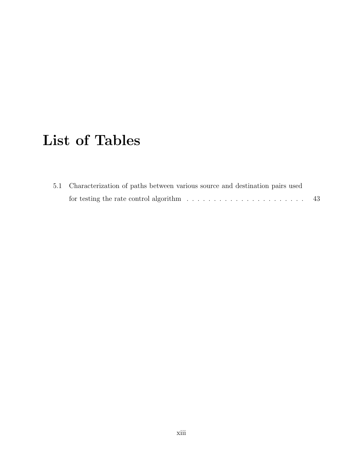# List of Tables

| 5.1 Characterization of paths between various source and destination pairs used           |      |
|-------------------------------------------------------------------------------------------|------|
| for testing the rate control algorithm $\ldots \ldots \ldots \ldots \ldots \ldots \ldots$ | - 43 |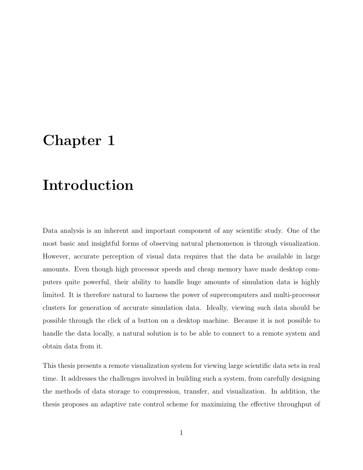## <span id="page-13-0"></span>Chapter 1

# Introduction

Data analysis is an inherent and important component of any scientific study. One of the most basic and insightful forms of observing natural phenomenon is through visualization. However, accurate perception of visual data requires that the data be available in large amounts. Even though high processor speeds and cheap memory have made desktop computers quite powerful, their ability to handle huge amounts of simulation data is highly limited. It is therefore natural to harness the power of supercomputers and multi-processor clusters for generation of accurate simulation data. Ideally, viewing such data should be possible through the click of a button on a desktop machine. Because it is not possible to handle the data locally, a natural solution is to be able to connect to a remote system and obtain data from it.

This thesis presents a remote visualization system for viewing large scientific data sets in real time. It addresses the challenges involved in building such a system, from carefully designing the methods of data storage to compression, transfer, and visualization. In addition, the thesis proposes an adaptive rate control scheme for maximizing the effective throughput of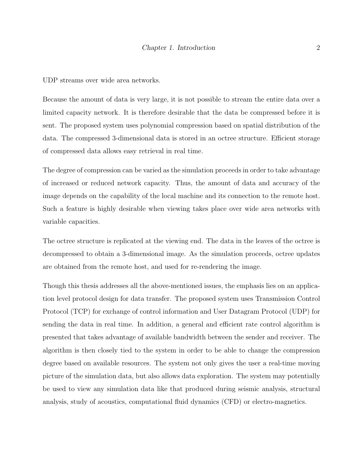UDP streams over wide area networks.

Because the amount of data is very large, it is not possible to stream the entire data over a limited capacity network. It is therefore desirable that the data be compressed before it is sent. The proposed system uses polynomial compression based on spatial distribution of the data. The compressed 3-dimensional data is stored in an octree structure. Efficient storage of compressed data allows easy retrieval in real time.

The degree of compression can be varied as the simulation proceeds in order to take advantage of increased or reduced network capacity. Thus, the amount of data and accuracy of the image depends on the capability of the local machine and its connection to the remote host. Such a feature is highly desirable when viewing takes place over wide area networks with variable capacities.

The octree structure is replicated at the viewing end. The data in the leaves of the octree is decompressed to obtain a 3-dimensional image. As the simulation proceeds, octree updates are obtained from the remote host, and used for re-rendering the image.

Though this thesis addresses all the above-mentioned issues, the emphasis lies on an application level protocol design for data transfer. The proposed system uses Transmission Control Protocol (TCP) for exchange of control information and User Datagram Protocol (UDP) for sending the data in real time. In addition, a general and efficient rate control algorithm is presented that takes advantage of available bandwidth between the sender and receiver. The algorithm is then closely tied to the system in order to be able to change the compression degree based on available resources. The system not only gives the user a real-time moving picture of the simulation data, but also allows data exploration. The system may potentially be used to view any simulation data like that produced during seismic analysis, structural analysis, study of acoustics, computational fluid dynamics (CFD) or electro-magnetics.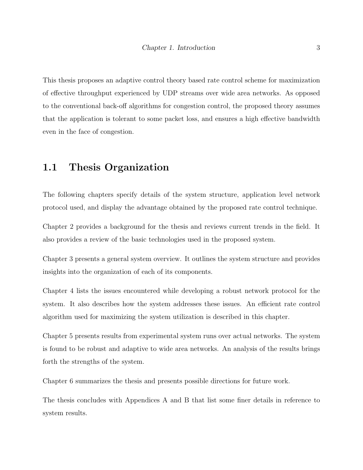This thesis proposes an adaptive control theory based rate control scheme for maximization of effective throughput experienced by UDP streams over wide area networks. As opposed to the conventional back-off algorithms for congestion control, the proposed theory assumes that the application is tolerant to some packet loss, and ensures a high effective bandwidth even in the face of congestion.

### <span id="page-15-0"></span>1.1 Thesis Organization

The following chapters specify details of the system structure, application level network protocol used, and display the advantage obtained by the proposed rate control technique.

Chapter [2](#page-16-0) provides a background for the thesis and reviews current trends in the field. It also provides a review of the basic technologies used in the proposed system.

Chapter [3](#page-28-0) presents a general system overview. It outlines the system structure and provides insights into the organization of each of its components.

Chapter [4](#page-37-0) lists the issues encountered while developing a robust network protocol for the system. It also describes how the system addresses these issues. An efficient rate control algorithm used for maximizing the system utilization is described in this chapter.

Chapter [5](#page-54-0) presents results from experimental system runs over actual networks. The system is found to be robust and adaptive to wide area networks. An analysis of the results brings forth the strengths of the system.

Chapter [6](#page-68-0) summarizes the thesis and presents possible directions for future work.

The thesis concludes with Appendices [A](#page-76-0) and [B](#page-80-0) that list some finer details in reference to system results.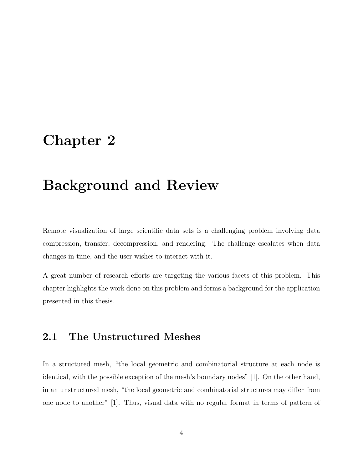## <span id="page-16-0"></span>Chapter 2

# Background and Review

Remote visualization of large scientific data sets is a challenging problem involving data compression, transfer, decompression, and rendering. The challenge escalates when data changes in time, and the user wishes to interact with it.

A great number of research efforts are targeting the various facets of this problem. This chapter highlights the work done on this problem and forms a background for the application presented in this thesis.

#### <span id="page-16-1"></span>2.1 The Unstructured Meshes

In a structured mesh, "the local geometric and combinatorial structure at each node is identical, with the possible exception of the mesh's boundary nodes" [\[1\]](#page-71-0). On the other hand, in an unstructured mesh, "the local geometric and combinatorial structures may differ from one node to another" [\[1\]](#page-71-0). Thus, visual data with no regular format in terms of pattern of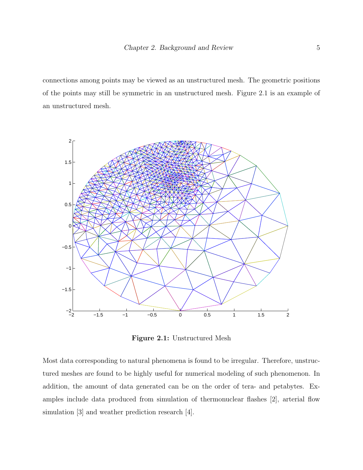connections among points may be viewed as an unstructured mesh. The geometric positions of the points may still be symmetric in an unstructured mesh. Figure [2.1](#page-17-0) is an example of an unstructured mesh.



<span id="page-17-0"></span>Figure 2.1: Unstructured Mesh

Most data corresponding to natural phenomena is found to be irregular. Therefore, unstructured meshes are found to be highly useful for numerical modeling of such phenomenon. In addition, the amount of data generated can be on the order of tera- and petabytes. Examples include data produced from simulation of thermonuclear flashes [\[2\]](#page-71-1), arterial flow simulation [\[3\]](#page-71-2) and weather prediction research [\[4\]](#page-71-3).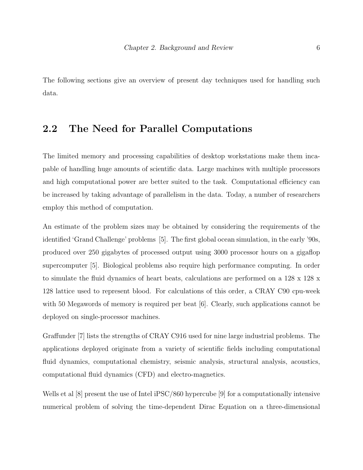The following sections give an overview of present day techniques used for handling such data.

### <span id="page-18-0"></span>2.2 The Need for Parallel Computations

The limited memory and processing capabilities of desktop workstations make them incapable of handling huge amounts of scientific data. Large machines with multiple processors and high computational power are better suited to the task. Computational efficiency can be increased by taking advantage of parallelism in the data. Today, a number of researchers employ this method of computation.

An estimate of the problem sizes may be obtained by considering the requirements of the identified 'Grand Challenge' problems [\[5\]](#page-71-4). The first global ocean simulation, in the early '90s, produced over 250 gigabytes of processed output using 3000 processor hours on a gigaflop supercomputer [\[5\]](#page-71-4). Biological problems also require high performance computing. In order to simulate the fluid dynamics of heart beats, calculations are performed on a 128 x 128 x 128 lattice used to represent blood. For calculations of this order, a CRAY C90 cpu-week with 50 Megawords of memory is required per beat [\[6\]](#page-71-5). Clearly, such applications cannot be deployed on single-processor machines.

Graffunder [\[7\]](#page-72-0) lists the strengths of CRAY C916 used for nine large industrial problems. The applications deployed originate from a variety of scientific fields including computational fluid dynamics, computational chemistry, seismic analysis, structural analysis, acoustics, computational fluid dynamics (CFD) and electro-magnetics.

Wells et al [\[8\]](#page-72-1) present the use of Intel iPSC/860 hypercube [\[9\]](#page-72-2) for a computationally intensive numerical problem of solving the time-dependent Dirac Equation on a three-dimensional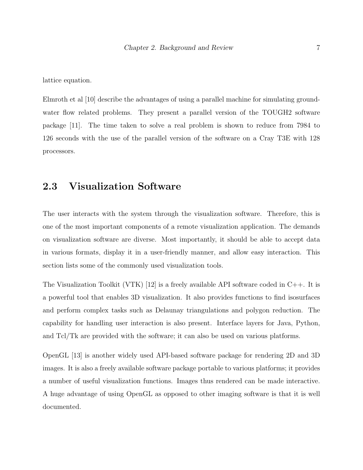lattice equation.

Elmroth et al [\[10\]](#page-72-3) describe the advantages of using a parallel machine for simulating groundwater flow related problems. They present a parallel version of the TOUGH2 software package [\[11\]](#page-72-4). The time taken to solve a real problem is shown to reduce from 7984 to 126 seconds with the use of the parallel version of the software on a Cray T3E with 128 processors.

### <span id="page-19-0"></span>2.3 Visualization Software

The user interacts with the system through the visualization software. Therefore, this is one of the most important components of a remote visualization application. The demands on visualization software are diverse. Most importantly, it should be able to accept data in various formats, display it in a user-friendly manner, and allow easy interaction. This section lists some of the commonly used visualization tools.

The Visualization Toolkit (VTK)  $[12]$  is a freely available API software coded in C++. It is a powerful tool that enables 3D visualization. It also provides functions to find isosurfaces and perform complex tasks such as Delaunay triangulations and polygon reduction. The capability for handling user interaction is also present. Interface layers for Java, Python, and Tcl/Tk are provided with the software; it can also be used on various platforms.

OpenGL [\[13\]](#page-72-6) is another widely used API-based software package for rendering 2D and 3D images. It is also a freely available software package portable to various platforms; it provides a number of useful visualization functions. Images thus rendered can be made interactive. A huge advantage of using OpenGL as opposed to other imaging software is that it is well documented.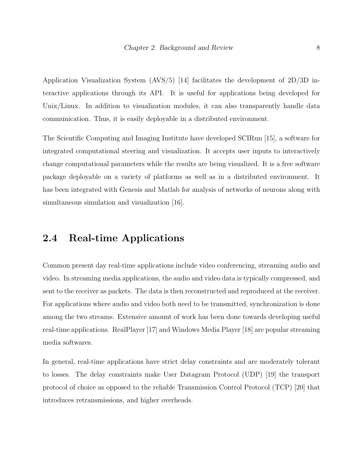Application Visualization System (AVS/5) [\[14\]](#page-72-7) facilitates the development of 2D/3D interactive applications through its API. It is useful for applications being developed for Unix/Linux. In addition to visualization modules, it can also transparently handle data communication. Thus, it is easily deployable in a distributed environment.

The Scientific Computing and Imaging Institute have developed SCIRun [\[15\]](#page-72-8), a software for integrated computational steering and visualization. It accepts user inputs to interactively change computational parameters while the results are being visualized. It is a free software package deployable on a variety of platforms as well as in a distributed environment. It has been integrated with Genesis and Matlab for analysis of networks of neurons along with simultaneous simulation and visualization [\[16\]](#page-73-0).

#### <span id="page-20-0"></span>2.4 Real-time Applications

Common present day real-time applications include video conferencing, streaming audio and video. In streaming media applications, the audio and video data is typically compressed, and sent to the receiver as packets. The data is then reconstructed and reproduced at the receiver. For applications where audio and video both need to be transmitted, synchronization is done among the two streams. Extensive amount of work has been done towards developing useful real-time applications. RealPlayer [\[17\]](#page-73-1) and Windows Media Player [\[18\]](#page-73-2) are popular streaming media softwares.

In general, real-time applications have strict delay constraints and are moderately tolerant to losses. The delay constraints make User Datagram Protocol (UDP) [\[19\]](#page-73-3) the transport protocol of choice as opposed to the reliable Transmission Control Protocol (TCP) [\[20\]](#page-73-4) that introduces retransmissions, and higher overheads.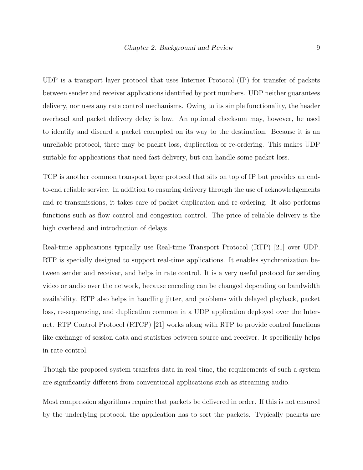UDP is a transport layer protocol that uses Internet Protocol (IP) for transfer of packets between sender and receiver applications identified by port numbers. UDP neither guarantees delivery, nor uses any rate control mechanisms. Owing to its simple functionality, the header overhead and packet delivery delay is low. An optional checksum may, however, be used to identify and discard a packet corrupted on its way to the destination. Because it is an unreliable protocol, there may be packet loss, duplication or re-ordering. This makes UDP suitable for applications that need fast delivery, but can handle some packet loss.

TCP is another common transport layer protocol that sits on top of IP but provides an endto-end reliable service. In addition to ensuring delivery through the use of acknowledgements and re-transmissions, it takes care of packet duplication and re-ordering. It also performs functions such as flow control and congestion control. The price of reliable delivery is the high overhead and introduction of delays.

Real-time applications typically use Real-time Transport Protocol (RTP) [\[21\]](#page-73-5) over UDP. RTP is specially designed to support real-time applications. It enables synchronization between sender and receiver, and helps in rate control. It is a very useful protocol for sending video or audio over the network, because encoding can be changed depending on bandwidth availability. RTP also helps in handling jitter, and problems with delayed playback, packet loss, re-sequencing, and duplication common in a UDP application deployed over the Internet. RTP Control Protocol (RTCP) [\[21\]](#page-73-5) works along with RTP to provide control functions like exchange of session data and statistics between source and receiver. It specifically helps in rate control.

Though the proposed system transfers data in real time, the requirements of such a system are significantly different from conventional applications such as streaming audio.

Most compression algorithms require that packets be delivered in order. If this is not ensured by the underlying protocol, the application has to sort the packets. Typically packets are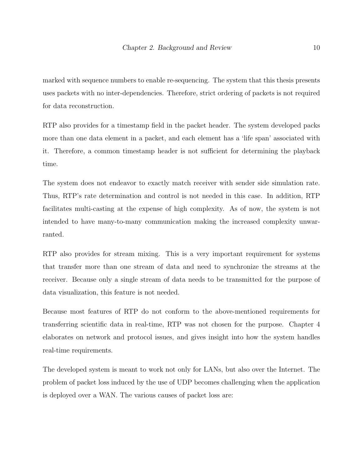marked with sequence numbers to enable re-sequencing. The system that this thesis presents uses packets with no inter-dependencies. Therefore, strict ordering of packets is not required for data reconstruction.

RTP also provides for a timestamp field in the packet header. The system developed packs more than one data element in a packet, and each element has a 'life span' associated with it. Therefore, a common timestamp header is not sufficient for determining the playback time.

The system does not endeavor to exactly match receiver with sender side simulation rate. Thus, RTP's rate determination and control is not needed in this case. In addition, RTP facilitates multi-casting at the expense of high complexity. As of now, the system is not intended to have many-to-many communication making the increased complexity unwarranted.

RTP also provides for stream mixing. This is a very important requirement for systems that transfer more than one stream of data and need to synchronize the streams at the receiver. Because only a single stream of data needs to be transmitted for the purpose of data visualization, this feature is not needed.

Because most features of RTP do not conform to the above-mentioned requirements for transferring scientific data in real-time, RTP was not chosen for the purpose. Chapter [4](#page-37-0) elaborates on network and protocol issues, and gives insight into how the system handles real-time requirements.

The developed system is meant to work not only for LANs, but also over the Internet. The problem of packet loss induced by the use of UDP becomes challenging when the application is deployed over a WAN. The various causes of packet loss are: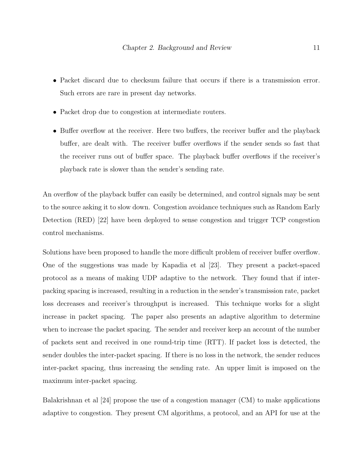- Packet discard due to checksum failure that occurs if there is a transmission error. Such errors are rare in present day networks.
- Packet drop due to congestion at intermediate routers.
- Buffer overflow at the receiver. Here two buffers, the receiver buffer and the playback buffer, are dealt with. The receiver buffer overflows if the sender sends so fast that the receiver runs out of buffer space. The playback buffer overflows if the receiver's playback rate is slower than the sender's sending rate.

An overflow of the playback buffer can easily be determined, and control signals may be sent to the source asking it to slow down. Congestion avoidance techniques such as Random Early Detection (RED) [\[22\]](#page-73-6) have been deployed to sense congestion and trigger TCP congestion control mechanisms.

Solutions have been proposed to handle the more difficult problem of receiver buffer overflow. One of the suggestions was made by Kapadia et al [\[23\]](#page-73-7). They present a packet-spaced protocol as a means of making UDP adaptive to the network. They found that if interpacking spacing is increased, resulting in a reduction in the sender's transmission rate, packet loss decreases and receiver's throughput is increased. This technique works for a slight increase in packet spacing. The paper also presents an adaptive algorithm to determine when to increase the packet spacing. The sender and receiver keep an account of the number of packets sent and received in one round-trip time (RTT). If packet loss is detected, the sender doubles the inter-packet spacing. If there is no loss in the network, the sender reduces inter-packet spacing, thus increasing the sending rate. An upper limit is imposed on the maximum inter-packet spacing.

Balakrishnan et al [\[24\]](#page-73-8) propose the use of a congestion manager (CM) to make applications adaptive to congestion. They present CM algorithms, a protocol, and an API for use at the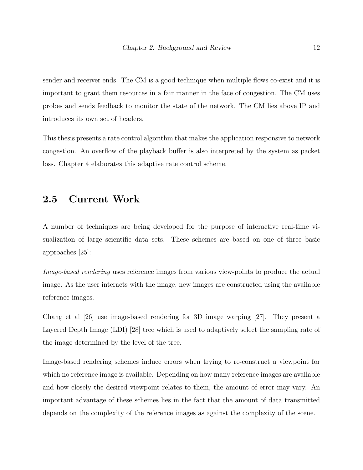sender and receiver ends. The CM is a good technique when multiple flows co-exist and it is important to grant them resources in a fair manner in the face of congestion. The CM uses probes and sends feedback to monitor the state of the network. The CM lies above IP and introduces its own set of headers.

This thesis presents a rate control algorithm that makes the application responsive to network congestion. An overflow of the playback buffer is also interpreted by the system as packet loss. Chapter [4](#page-37-0) elaborates this adaptive rate control scheme.

#### <span id="page-24-0"></span>2.5 Current Work

A number of techniques are being developed for the purpose of interactive real-time visualization of large scientific data sets. These schemes are based on one of three basic approaches [\[25\]](#page-73-9):

Image-based rendering uses reference images from various view-points to produce the actual image. As the user interacts with the image, new images are constructed using the available reference images.

Chang et al [\[26\]](#page-73-10) use image-based rendering for 3D image warping [\[27\]](#page-74-0). They present a Layered Depth Image (LDI) [\[28\]](#page-74-1) tree which is used to adaptively select the sampling rate of the image determined by the level of the tree.

Image-based rendering schemes induce errors when trying to re-construct a viewpoint for which no reference image is available. Depending on how many reference images are available and how closely the desired viewpoint relates to them, the amount of error may vary. An important advantage of these schemes lies in the fact that the amount of data transmitted depends on the complexity of the reference images as against the complexity of the scene.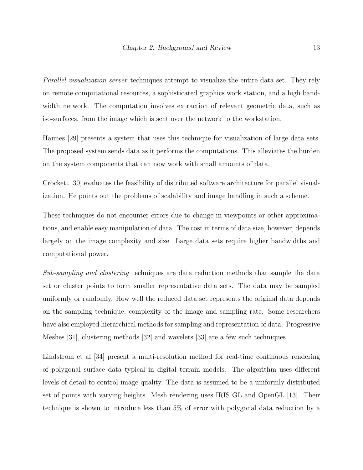Parallel visualization server techniques attempt to visualize the entire data set. They rely on remote computational resources, a sophisticated graphics work station, and a high bandwidth network. The computation involves extraction of relevant geometric data, such as iso-surfaces, from the image which is sent over the network to the workstation.

Haimes [\[29\]](#page-74-2) presents a system that uses this technique for visualization of large data sets. The proposed system sends data as it performs the computations. This alleviates the burden on the system components that can now work with small amounts of data.

Crockett [\[30\]](#page-74-3) evaluates the feasibility of distributed software architecture for parallel visualization. He points out the problems of scalability and image handling in such a scheme.

These techniques do not encounter errors due to change in viewpoints or other approximations, and enable easy manipulation of data. The cost in terms of data size, however, depends largely on the image complexity and size. Large data sets require higher bandwidths and computational power.

Sub-sampling and clustering techniques are data reduction methods that sample the data set or cluster points to form smaller representative data sets. The data may be sampled uniformly or randomly. How well the reduced data set represents the original data depends on the sampling technique, complexity of the image and sampling rate. Some researchers have also employed hierarchical methods for sampling and representation of data. Progressive Meshes [\[31\]](#page-74-4), clustering methods [\[32\]](#page-74-5) and wavelets [\[33\]](#page-74-6) are a few such techniques.

Lindstrom et al [\[34\]](#page-74-7) present a multi-resolution method for real-time continuous rendering of polygonal surface data typical in digital terrain models. The algorithm uses different levels of detail to control image quality. The data is assumed to be a uniformly distributed set of points with varying heights. Mesh rendering uses IRIS GL and OpenGL [\[13\]](#page-72-6). Their technique is shown to introduce less than 5% of error with polygonal data reduction by a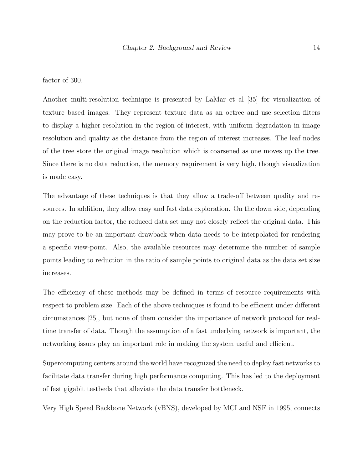factor of 300.

Another multi-resolution technique is presented by LaMar et al [\[35\]](#page-74-8) for visualization of texture based images. They represent texture data as an octree and use selection filters to display a higher resolution in the region of interest, with uniform degradation in image resolution and quality as the distance from the region of interest increases. The leaf nodes of the tree store the original image resolution which is coarsened as one moves up the tree. Since there is no data reduction, the memory requirement is very high, though visualization is made easy.

The advantage of these techniques is that they allow a trade-off between quality and resources. In addition, they allow easy and fast data exploration. On the down side, depending on the reduction factor, the reduced data set may not closely reflect the original data. This may prove to be an important drawback when data needs to be interpolated for rendering a specific view-point. Also, the available resources may determine the number of sample points leading to reduction in the ratio of sample points to original data as the data set size increases.

The efficiency of these methods may be defined in terms of resource requirements with respect to problem size. Each of the above techniques is found to be efficient under different circumstances [\[25\]](#page-73-9), but none of them consider the importance of network protocol for realtime transfer of data. Though the assumption of a fast underlying network is important, the networking issues play an important role in making the system useful and efficient.

Supercomputing centers around the world have recognized the need to deploy fast networks to facilitate data transfer during high performance computing. This has led to the deployment of fast gigabit testbeds that alleviate the data transfer bottleneck.

Very High Speed Backbone Network (vBNS), developed by MCI and NSF in 1995, connects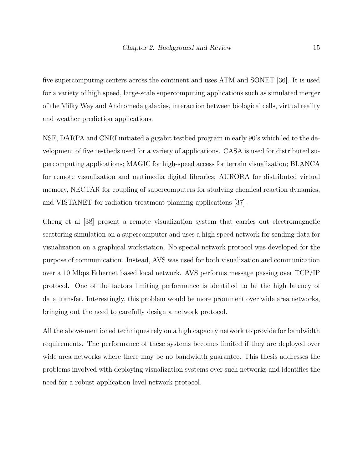five supercomputing centers across the continent and uses ATM and SONET [\[36\]](#page-74-9). It is used for a variety of high speed, large-scale supercomputing applications such as simulated merger of the Milky Way and Andromeda galaxies, interaction between biological cells, virtual reality and weather prediction applications.

NSF, DARPA and CNRI initiated a gigabit testbed program in early 90's which led to the development of five testbeds used for a variety of applications. CASA is used for distributed supercomputing applications; MAGIC for high-speed access for terrain visualization; BLANCA for remote visualization and mutimedia digital libraries; AURORA for distributed virtual memory, NECTAR for coupling of supercomputers for studying chemical reaction dynamics; and VISTANET for radiation treatment planning applications [\[37\]](#page-75-0).

Cheng et al [\[38\]](#page-75-1) present a remote visualization system that carries out electromagnetic scattering simulation on a supercomputer and uses a high speed network for sending data for visualization on a graphical workstation. No special network protocol was developed for the purpose of communication. Instead, AVS was used for both visualization and communication over a 10 Mbps Ethernet based local network. AVS performs message passing over TCP/IP protocol. One of the factors limiting performance is identified to be the high latency of data transfer. Interestingly, this problem would be more prominent over wide area networks, bringing out the need to carefully design a network protocol.

All the above-mentioned techniques rely on a high capacity network to provide for bandwidth requirements. The performance of these systems becomes limited if they are deployed over wide area networks where there may be no bandwidth guarantee. This thesis addresses the problems involved with deploying visualization systems over such networks and identifies the need for a robust application level network protocol.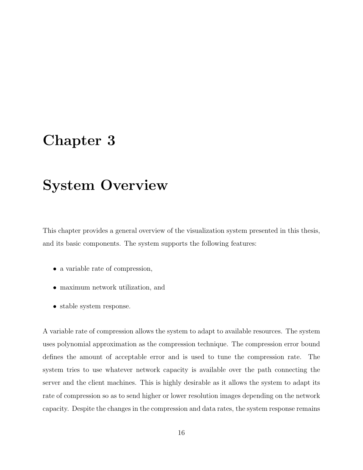## <span id="page-28-0"></span>Chapter 3

## System Overview

This chapter provides a general overview of the visualization system presented in this thesis, and its basic components. The system supports the following features:

- a variable rate of compression,
- maximum network utilization, and
- stable system response.

A variable rate of compression allows the system to adapt to available resources. The system uses polynomial approximation as the compression technique. The compression error bound defines the amount of acceptable error and is used to tune the compression rate. The system tries to use whatever network capacity is available over the path connecting the server and the client machines. This is highly desirable as it allows the system to adapt its rate of compression so as to send higher or lower resolution images depending on the network capacity. Despite the changes in the compression and data rates, the system response remains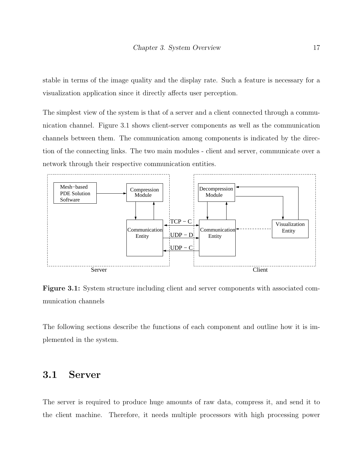stable in terms of the image quality and the display rate. Such a feature is necessary for a visualization application since it directly affects user perception.

The simplest view of the system is that of a server and a client connected through a communication channel. Figure [3.1](#page-29-1) shows client-server components as well as the communication channels between them. The communication among components is indicated by the direction of the connecting links. The two main modules - client and server, communicate over a network through their respective communication entities.



<span id="page-29-1"></span>Figure 3.1: System structure including client and server components with associated communication channels

The following sections describe the functions of each component and outline how it is implemented in the system.

#### <span id="page-29-0"></span>3.1 Server

The server is required to produce huge amounts of raw data, compress it, and send it to the client machine. Therefore, it needs multiple processors with high processing power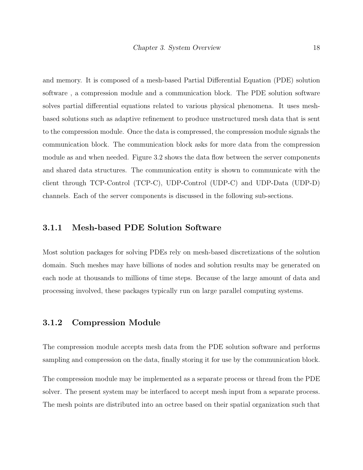and memory. It is composed of a mesh-based Partial Differential Equation (PDE) solution software , a compression module and a communication block. The PDE solution software solves partial differential equations related to various physical phenomena. It uses meshbased solutions such as adaptive refinement to produce unstructured mesh data that is sent to the compression module. Once the data is compressed, the compression module signals the communication block. The communication block asks for more data from the compression module as and when needed. Figure [3.2](#page-31-0) shows the data flow between the server components and shared data structures. The communication entity is shown to communicate with the client through TCP-Control (TCP-C), UDP-Control (UDP-C) and UDP-Data (UDP-D) channels. Each of the server components is discussed in the following sub-sections.

#### <span id="page-30-0"></span>3.1.1 Mesh-based PDE Solution Software

Most solution packages for solving PDEs rely on mesh-based discretizations of the solution domain. Such meshes may have billions of nodes and solution results may be generated on each node at thousands to millions of time steps. Because of the large amount of data and processing involved, these packages typically run on large parallel computing systems.

#### <span id="page-30-1"></span>3.1.2 Compression Module

The compression module accepts mesh data from the PDE solution software and performs sampling and compression on the data, finally storing it for use by the communication block.

The compression module may be implemented as a separate process or thread from the PDE solver. The present system may be interfaced to accept mesh input from a separate process. The mesh points are distributed into an octree based on their spatial organization such that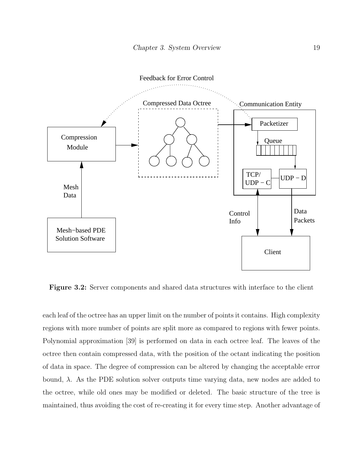

<span id="page-31-0"></span>Figure 3.2: Server components and shared data structures with interface to the client

each leaf of the octree has an upper limit on the number of points it contains. High complexity regions with more number of points are split more as compared to regions with fewer points. Polynomial approximation [\[39\]](#page-75-2) is performed on data in each octree leaf. The leaves of the octree then contain compressed data, with the position of the octant indicating the position of data in space. The degree of compression can be altered by changing the acceptable error bound,  $\lambda$ . As the PDE solution solver outputs time varying data, new nodes are added to the octree, while old ones may be modified or deleted. The basic structure of the tree is maintained, thus avoiding the cost of re-creating it for every time step. Another advantage of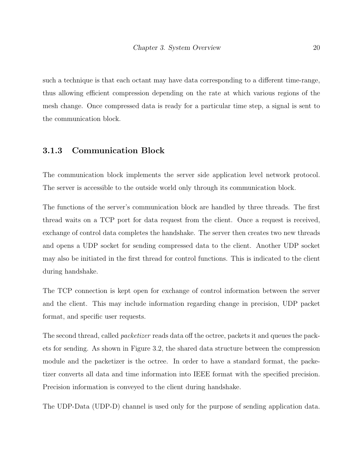such a technique is that each octant may have data corresponding to a different time-range, thus allowing efficient compression depending on the rate at which various regions of the mesh change. Once compressed data is ready for a particular time step, a signal is sent to the communication block.

#### <span id="page-32-0"></span>3.1.3 Communication Block

The communication block implements the server side application level network protocol. The server is accessible to the outside world only through its communication block.

The functions of the server's communication block are handled by three threads. The first thread waits on a TCP port for data request from the client. Once a request is received, exchange of control data completes the handshake. The server then creates two new threads and opens a UDP socket for sending compressed data to the client. Another UDP socket may also be initiated in the first thread for control functions. This is indicated to the client during handshake.

The TCP connection is kept open for exchange of control information between the server and the client. This may include information regarding change in precision, UDP packet format, and specific user requests.

The second thread, called packetizer reads data off the octree, packets it and queues the packets for sending. As shown in Figure [3.2,](#page-31-0) the shared data structure between the compression module and the packetizer is the octree. In order to have a standard format, the packetizer converts all data and time information into IEEE format with the specified precision. Precision information is conveyed to the client during handshake.

The UDP-Data (UDP-D) channel is used only for the purpose of sending application data.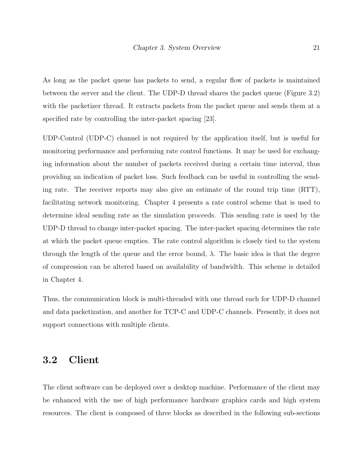As long as the packet queue has packets to send, a regular flow of packets is maintained between the server and the client. The UDP-D thread shares the packet queue (Figure [3.2\)](#page-31-0) with the packetizer thread. It extracts packets from the packet queue and sends them at a specified rate by controlling the inter-packet spacing [\[23\]](#page-73-7).

UDP-Control (UDP-C) channel is not required by the application itself, but is useful for monitoring performance and performing rate control functions. It may be used for exchanging information about the number of packets received during a certain time interval, thus providing an indication of packet loss. Such feedback can be useful in controlling the sending rate. The receiver reports may also give an estimate of the round trip time (RTT), facilitating network monitoring. Chapter [4](#page-37-0) presents a rate control scheme that is used to determine ideal sending rate as the simulation proceeds. This sending rate is used by the UDP-D thread to change inter-packet spacing. The inter-packet spacing determines the rate at which the packet queue empties. The rate control algorithm is closely tied to the system through the length of the queue and the error bound,  $\lambda$ . The basic idea is that the degree of compression can be altered based on availability of bandwidth. This scheme is detailed in Chapter [4.](#page-37-0)

Thus, the communication block is multi-threaded with one thread each for UDP-D channel and data packetization, and another for TCP-C and UDP-C channels. Presently, it does not support connections with multiple clients.

#### <span id="page-33-0"></span>3.2 Client

The client software can be deployed over a desktop machine. Performance of the client may be enhanced with the use of high performance hardware graphics cards and high system resources. The client is composed of three blocks as described in the following sub-sections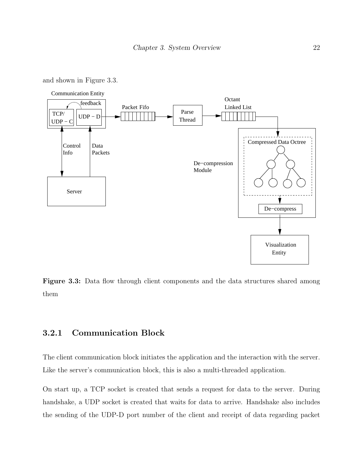and shown in Figure [3.3.](#page-34-1)



<span id="page-34-1"></span>Figure 3.3: Data flow through client components and the data structures shared among them

#### <span id="page-34-0"></span>3.2.1 Communication Block

The client communication block initiates the application and the interaction with the server. Like the server's communication block, this is also a multi-threaded application.

On start up, a TCP socket is created that sends a request for data to the server. During handshake, a UDP socket is created that waits for data to arrive. Handshake also includes the sending of the UDP-D port number of the client and receipt of data regarding packet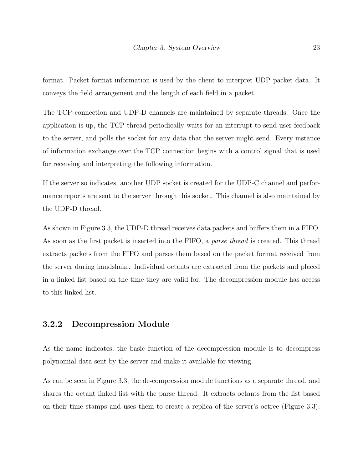format. Packet format information is used by the client to interpret UDP packet data. It conveys the field arrangement and the length of each field in a packet.

The TCP connection and UDP-D channels are maintained by separate threads. Once the application is up, the TCP thread periodically waits for an interrupt to send user feedback to the server, and polls the socket for any data that the server might send. Every instance of information exchange over the TCP connection begins with a control signal that is used for receiving and interpreting the following information.

If the server so indicates, another UDP socket is created for the UDP-C channel and performance reports are sent to the server through this socket. This channel is also maintained by the UDP-D thread.

As shown in Figure [3.3,](#page-34-1) the UDP-D thread receives data packets and buffers them in a FIFO. As soon as the first packet is inserted into the FIFO, a *parse thread* is created. This thread extracts packets from the FIFO and parses them based on the packet format received from the server during handshake. Individual octants are extracted from the packets and placed in a linked list based on the time they are valid for. The decompression module has access to this linked list.

#### <span id="page-35-0"></span>3.2.2 Decompression Module

As the name indicates, the basic function of the decompression module is to decompress polynomial data sent by the server and make it available for viewing.

As can be seen in Figure [3.3,](#page-34-1) the de-compression module functions as a separate thread, and shares the octant linked list with the parse thread. It extracts octants from the list based on their time stamps and uses them to create a replica of the server's octree (Figure [3.3\)](#page-34-1).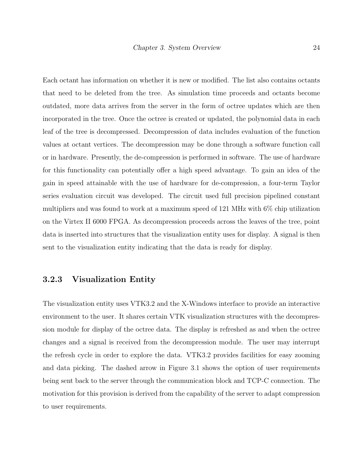Each octant has information on whether it is new or modified. The list also contains octants that need to be deleted from the tree. As simulation time proceeds and octants become outdated, more data arrives from the server in the form of octree updates which are then incorporated in the tree. Once the octree is created or updated, the polynomial data in each leaf of the tree is decompressed. Decompression of data includes evaluation of the function values at octant vertices. The decompression may be done through a software function call or in hardware. Presently, the de-compression is performed in software. The use of hardware for this functionality can potentially offer a high speed advantage. To gain an idea of the gain in speed attainable with the use of hardware for de-compression, a four-term Taylor series evaluation circuit was developed. The circuit used full precision pipelined constant multipliers and was found to work at a maximum speed of 121 MHz with 6% chip utilization on the Virtex II 6000 FPGA. As decompression proceeds across the leaves of the tree, point data is inserted into structures that the visualization entity uses for display. A signal is then sent to the visualization entity indicating that the data is ready for display.

#### 3.2.3 Visualization Entity

The visualization entity uses VTK3.2 and the X-Windows interface to provide an interactive environment to the user. It shares certain VTK visualization structures with the decompression module for display of the octree data. The display is refreshed as and when the octree changes and a signal is received from the decompression module. The user may interrupt the refresh cycle in order to explore the data. VTK3.2 provides facilities for easy zooming and data picking. The dashed arrow in Figure [3.1](#page-29-0) shows the option of user requirements being sent back to the server through the communication block and TCP-C connection. The motivation for this provision is derived from the capability of the server to adapt compression to user requirements.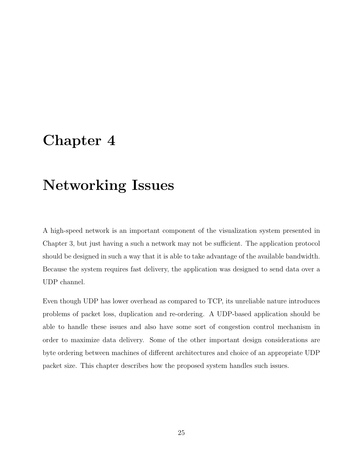### <span id="page-37-0"></span>Chapter 4

## Networking Issues

A high-speed network is an important component of the visualization system presented in Chapter [3,](#page-28-0) but just having a such a network may not be sufficient. The application protocol should be designed in such a way that it is able to take advantage of the available bandwidth. Because the system requires fast delivery, the application was designed to send data over a UDP channel.

Even though UDP has lower overhead as compared to TCP, its unreliable nature introduces problems of packet loss, duplication and re-ordering. A UDP-based application should be able to handle these issues and also have some sort of congestion control mechanism in order to maximize data delivery. Some of the other important design considerations are byte ordering between machines of different architectures and choice of an appropriate UDP packet size. This chapter describes how the proposed system handles such issues.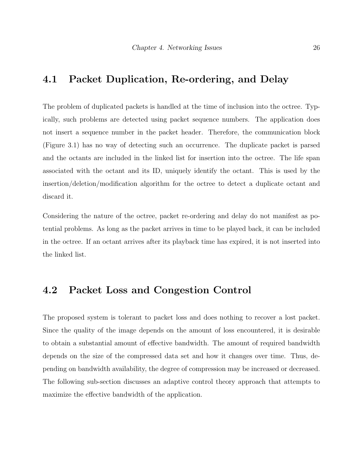### 4.1 Packet Duplication, Re-ordering, and Delay

The problem of duplicated packets is handled at the time of inclusion into the octree. Typically, such problems are detected using packet sequence numbers. The application does not insert a sequence number in the packet header. Therefore, the communication block (Figure [3.1\)](#page-29-0) has no way of detecting such an occurrence. The duplicate packet is parsed and the octants are included in the linked list for insertion into the octree. The life span associated with the octant and its ID, uniquely identify the octant. This is used by the insertion/deletion/modification algorithm for the octree to detect a duplicate octant and discard it.

Considering the nature of the octree, packet re-ordering and delay do not manifest as potential problems. As long as the packet arrives in time to be played back, it can be included in the octree. If an octant arrives after its playback time has expired, it is not inserted into the linked list.

#### 4.2 Packet Loss and Congestion Control

The proposed system is tolerant to packet loss and does nothing to recover a lost packet. Since the quality of the image depends on the amount of loss encountered, it is desirable to obtain a substantial amount of effective bandwidth. The amount of required bandwidth depends on the size of the compressed data set and how it changes over time. Thus, depending on bandwidth availability, the degree of compression may be increased or decreased. The following sub-section discusses an adaptive control theory approach that attempts to maximize the effective bandwidth of the application.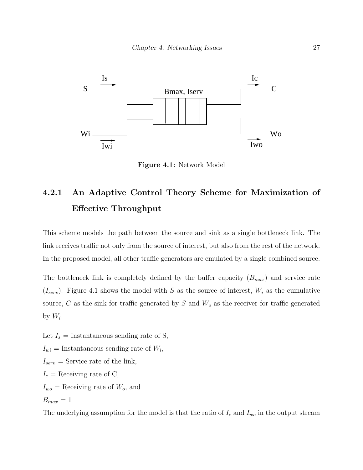

<span id="page-39-0"></span>Figure 4.1: Network Model

### 4.2.1 An Adaptive Control Theory Scheme for Maximization of Effective Throughput

This scheme models the path between the source and sink as a single bottleneck link. The link receives traffic not only from the source of interest, but also from the rest of the network. In the proposed model, all other traffic generators are emulated by a single combined source.

The bottleneck link is completely defined by the buffer capacity  $(B_{max})$  and service rate  $(I_{serv})$ . Figure [4.1](#page-39-0) shows the model with S as the source of interest,  $W_i$  as the cumulative source, C as the sink for traffic generated by S and  $W<sub>o</sub>$  as the receiver for traffic generated by  $W_i$ .

Let  $I_s =$  Instantaneous sending rate of S,  $I_{wi}$  = Instantaneous sending rate of  $W_i$ ,  $I_{serv} =$  Service rate of the link,  $I_c$  = Receiving rate of C,  $I_{wo}$  = Receiving rate of  $W_o$ , and  $B_{max} = 1$ 

The underlying assumption for the model is that the ratio of  $I_c$  and  $I_{wo}$  in the output stream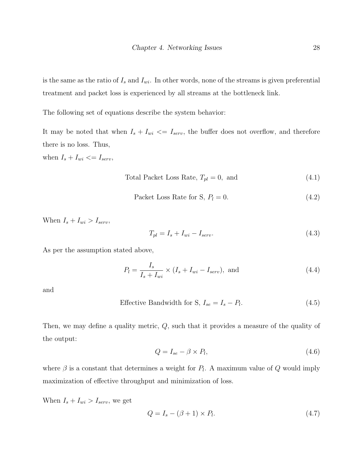is the same as the ratio of  $I_s$  and  $I_{wi}$ . In other words, none of the streams is given preferential treatment and packet loss is experienced by all streams at the bottleneck link.

The following set of equations describe the system behavior:

It may be noted that when  $I_s + I_{wi} \leq I_{serv}$ , the buffer does not overflow, and therefore there is no loss. Thus,

when  $I_s + I_{wi} \leq I_{serv}$ ,

Total Packet Loss Rate, 
$$
T_{pl} = 0
$$
, and (4.1)

$$
Packet Loss Rate for S, Pl = 0.
$$
\n(4.2)

When  $I_s + I_{wi} > I_{serv}$ ,

$$
T_{pl} = I_s + I_{wi} - I_{serv}.\tag{4.3}
$$

As per the assumption stated above,

<span id="page-40-1"></span>
$$
P_l = \frac{I_s}{I_s + I_{wi}} \times (I_s + I_{wi} - I_{serv}), \text{ and}
$$
\n(4.4)

and

$$
Effective Bandwidth for S, I_{se} = I_s - P_l. \tag{4.5}
$$

Then, we may define a quality metric, Q, such that it provides a measure of the quality of the output:

$$
Q = I_{se} - \beta \times P_l, \tag{4.6}
$$

where  $\beta$  is a constant that determines a weight for  $P_l$ . A maximum value of Q would imply maximization of effective throughput and minimization of loss.

When  $I_s + I_{wi} > I_{serv}$ , we get

<span id="page-40-0"></span>
$$
Q = I_s - (\beta + 1) \times P_l. \tag{4.7}
$$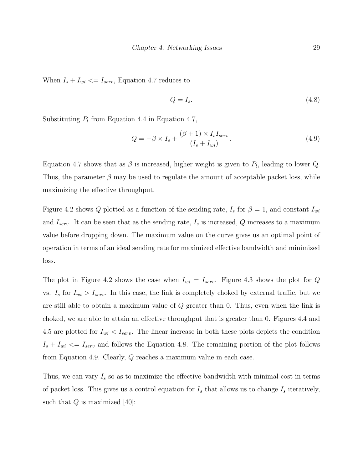When  $I_s + I_{wi} \leq I_{serv}$ , Equation [4.7](#page-40-0) reduces to

<span id="page-41-0"></span>
$$
Q = I_s. \tag{4.8}
$$

Substituting  $P_l$  from Equation [4.4](#page-40-1) in Equation [4.7,](#page-40-0)

<span id="page-41-1"></span>
$$
Q = -\beta \times I_s + \frac{(\beta + 1) \times I_s I_{serv}}{(I_s + I_{wi})}.
$$
\n(4.9)

Equation [4.7](#page-40-0) shows that as  $\beta$  is increased, higher weight is given to  $P_l$ , leading to lower Q. Thus, the parameter  $\beta$  may be used to regulate the amount of acceptable packet loss, while maximizing the effective throughput.

Figure [4.2](#page-42-0) shows Q plotted as a function of the sending rate,  $I_s$  for  $\beta = 1$ , and constant  $I_{wi}$ and  $I_{serv.}$  It can be seen that as the sending rate,  $I_s$  is increased,  $Q$  increases to a maximum value before dropping down. The maximum value on the curve gives us an optimal point of operation in terms of an ideal sending rate for maximized effective bandwidth and minimized loss.

The plot in Figure [4.2](#page-42-0) shows the case when  $I_{wi} = I_{serv}$ . Figure [4.3](#page-43-0) shows the plot for Q vs.  $I_s$  for  $I_{wi} > I_{serv}$ . In this case, the link is completely choked by external traffic, but we are still able to obtain a maximum value of Q greater than 0. Thus, even when the link is choked, we are able to attain an effective throughput that is greater than 0. Figures [4.4](#page-44-0) and [4.5](#page-45-0) are plotted for  $I_{wi} < I_{serv}$ . The linear increase in both these plots depicts the condition  $I_s + I_{wi} \leq I_{serv}$  and follows the Equation [4.8.](#page-41-0) The remaining portion of the plot follows from Equation [4.9.](#page-41-1) Clearly, Q reaches a maximum value in each case.

Thus, we can vary  $I_s$  so as to maximize the effective bandwidth with minimal cost in terms of packet loss. This gives us a control equation for  $I_s$  that allows us to change  $I_s$  iteratively, such that  $Q$  is maximized [\[40\]](#page-75-0):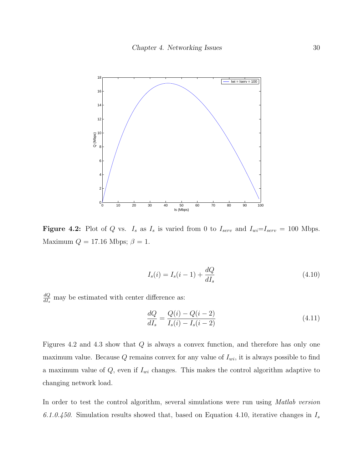

<span id="page-42-0"></span>**Figure 4.2:** Plot of Q vs.  $I_s$  as  $I_s$  is varied from 0 to  $I_{serv}$  and  $I_{wi} = I_{serv} = 100$  Mbps. Maximum  $Q = 17.16$  Mbps;  $\beta = 1$ .

<span id="page-42-1"></span>
$$
I_s(i) = I_s(i-1) + \frac{dQ}{dI_s}
$$
\n(4.10)

 $dQ$  $\frac{dQ}{dI_s}$  may be estimated with center difference as:

$$
\frac{dQ}{dI_s} = \frac{Q(i) - Q(i - 2)}{I_s(i) - I_s(i - 2)}\tag{4.11}
$$

Figures [4.2](#page-42-0) and [4.3](#page-43-0) show that  $Q$  is always a convex function, and therefore has only one maximum value. Because  $Q$  remains convex for any value of  $I_{wi}$ , it is always possible to find a maximum value of  $Q$ , even if  $I_{wi}$  changes. This makes the control algorithm adaptive to changing network load.

In order to test the control algorithm, several simulations were run using *Matlab version* 6.1.0.450. Simulation results showed that, based on Equation [4.10,](#page-42-1) iterative changes in  $I_s$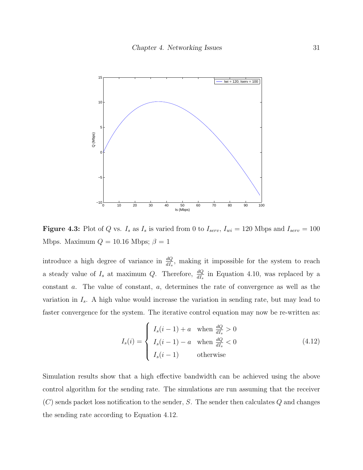

<span id="page-43-0"></span>Figure 4.3: Plot of Q vs.  $I_s$  as  $I_s$  is varied from 0 to  $I_{serv}$ ,  $I_{wi} = 120$  Mbps and  $I_{serv} = 100$ Mbps. Maximum  $Q = 10.16$  Mbps;  $\beta = 1$ 

introduce a high degree of variance in  $\frac{dQ}{dI_s}$ , making it impossible for the system to reach a steady value of  $I_s$  at maximum Q. Therefore,  $\frac{dQ}{dI_s}$  in Equation [4.10,](#page-42-1) was replaced by a constant a. The value of constant, a, determines the rate of convergence as well as the variation in  $I_s$ . A high value would increase the variation in sending rate, but may lead to faster convergence for the system. The iterative control equation may now be re-written as:

<span id="page-43-1"></span>
$$
I_s(i) = \begin{cases} I_s(i-1) + a & \text{when } \frac{dQ}{dI_s} > 0\\ I_s(i-1) - a & \text{when } \frac{dQ}{dI_s} < 0\\ I_s(i-1) & \text{otherwise} \end{cases}
$$
(4.12)

Simulation results show that a high effective bandwidth can be achieved using the above control algorithm for the sending rate. The simulations are run assuming that the receiver  $(C)$  sends packet loss notification to the sender, S. The sender then calculates Q and changes the sending rate according to Equation [4.12.](#page-43-1)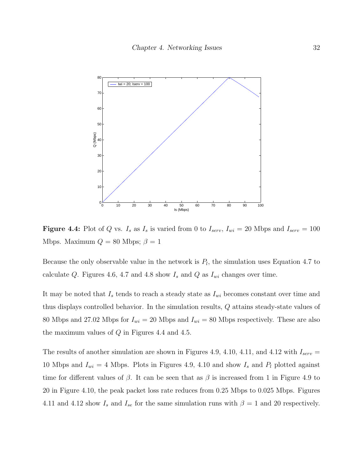

<span id="page-44-0"></span>**Figure 4.4:** Plot of Q vs.  $I_s$  as  $I_s$  is varied from 0 to  $I_{serv}$ ,  $I_{wi} = 20$  Mbps and  $I_{serv} = 100$ Mbps. Maximum  $Q = 80$  Mbps;  $\beta = 1$ 

Because the only observable value in the network is  $P_l$ , the simulation uses Equation [4.7](#page-40-0) to calculate Q. Figures [4.6,](#page-45-1) [4.7](#page-46-0) and [4.8](#page-46-1) show  $I_s$  and Q as  $I_{wi}$  changes over time.

It may be noted that  $I_s$  tends to reach a steady state as  $I_{wi}$  becomes constant over time and thus displays controlled behavior. In the simulation results, Q attains steady-state values of 80 Mbps and 27.02 Mbps for  $I_{wi} = 20$  Mbps and  $I_{wi} = 80$  Mbps respectively. These are also the maximum values of  $Q$  in Figures [4.4](#page-44-0) and [4.5.](#page-45-0)

The results of another simulation are shown in Figures [4.9,](#page-47-0) [4.10,](#page-47-1) [4.11,](#page-48-0) and [4.12](#page-49-0) with  $I_{serv} =$ 10 Mbps and  $I_{wi} = 4$  Mbps. Plots in Figures [4.9,](#page-47-0) [4.10](#page-47-1) and show  $I_s$  and  $P_l$  plotted against time for different values of  $\beta$ . It can be seen that as  $\beta$  is increased from 1 in Figure [4.9](#page-47-0) to 20 in Figure [4.10,](#page-47-1) the peak packet loss rate reduces from 0.25 Mbps to 0.025 Mbps. Figures [4.11](#page-48-0) and [4.12](#page-49-0) show  $I_s$  and  $I_{se}$  for the same simulation runs with  $\beta = 1$  and 20 respectively.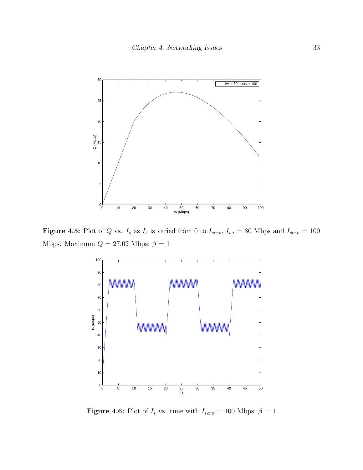

**Figure 4.5:** Plot of Q vs.  $I_s$  as  $I_s$  is varied from 0 to  $I_{serv}$ ,  $I_{wi} = 80$  Mbps and  $I_{serv} = 100$ Mbps. Maximum  $Q = 27.02$  Mbps;  $\beta = 1$ 

<span id="page-45-0"></span>

<span id="page-45-1"></span>Figure 4.6: Plot of  $I_s$  vs. time with  $I_{serv} = 100$  Mbps;  $\beta = 1$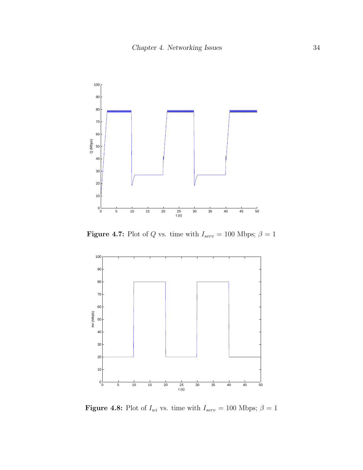

<span id="page-46-0"></span>**Figure 4.7:** Plot of Q vs. time with  $I_{serv} = 100$  Mbps;  $\beta = 1$ 



<span id="page-46-1"></span>**Figure 4.8:** Plot of  $I_{wi}$  vs. time with  $I_{serv} = 100$  Mbps;  $\beta = 1$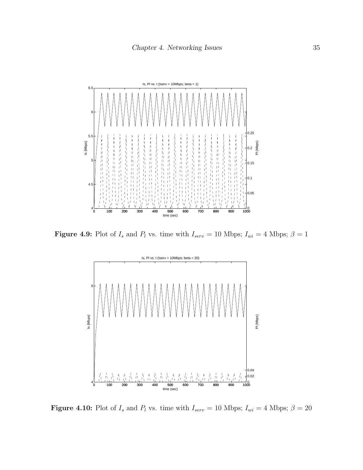

**Figure 4.9:** Plot of  $I_s$  and  $P_l$  vs. time with  $I_{serv} = 10$  Mbps;  $I_{wi} = 4$  Mbps;  $\beta = 1$ 

<span id="page-47-0"></span>

<span id="page-47-1"></span>Figure 4.10: Plot of  $I_s$  and  $P_l$  vs. time with  $I_{serv} = 10$  Mbps;  $I_{wi} = 4$  Mbps;  $\beta = 20$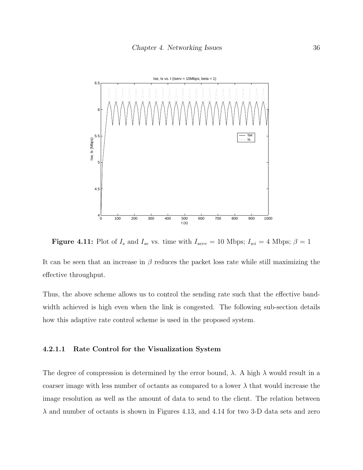

<span id="page-48-0"></span>Figure 4.11: Plot of  $I_s$  and  $I_{se}$  vs. time with  $I_{serv} = 10$  Mbps;  $I_{wi} = 4$  Mbps;  $\beta = 1$ 

It can be seen that an increase in  $\beta$  reduces the packet loss rate while still maximizing the effective throughput.

Thus, the above scheme allows us to control the sending rate such that the effective bandwidth achieved is high even when the link is congested. The following sub-section details how this adaptive rate control scheme is used in the proposed system.

#### 4.2.1.1 Rate Control for the Visualization System

The degree of compression is determined by the error bound,  $\lambda$ . A high  $\lambda$  would result in a coarser image with less number of octants as compared to a lower  $\lambda$  that would increase the image resolution as well as the amount of data to send to the client. The relation between  $\lambda$  and number of octants is shown in Figures [4.13,](#page-50-0) and [4.14](#page-50-1) for two 3-D data sets and zero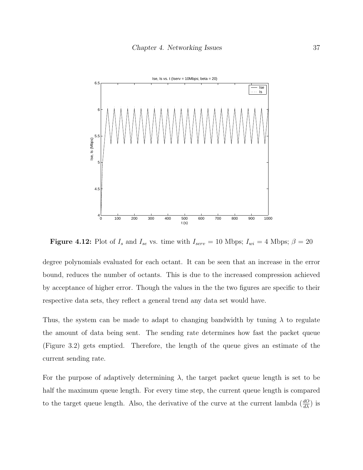

<span id="page-49-0"></span>Figure 4.12: Plot of  $I_s$  and  $I_{se}$  vs. time with  $I_{serv} = 10$  Mbps;  $I_{wi} = 4$  Mbps;  $\beta = 20$ 

degree polynomials evaluated for each octant. It can be seen that an increase in the error bound, reduces the number of octants. This is due to the increased compression achieved by acceptance of higher error. Though the values in the the two figures are specific to their respective data sets, they reflect a general trend any data set would have.

Thus, the system can be made to adapt to changing bandwidth by tuning  $\lambda$  to regulate the amount of data being sent. The sending rate determines how fast the packet queue (Figure [3.2\)](#page-31-0) gets emptied. Therefore, the length of the queue gives an estimate of the current sending rate.

For the purpose of adaptively determining  $\lambda$ , the target packet queue length is set to be half the maximum queue length. For every time step, the current queue length is compared to the target queue length. Also, the derivative of the curve at the current lambda  $(\frac{dQ}{d\lambda})$  is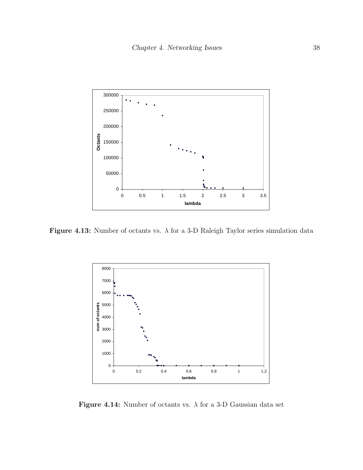

Figure 4.13: Number of octants vs.  $\lambda$  for a 3-D Raleigh Taylor series simulation data

<span id="page-50-0"></span>

<span id="page-50-1"></span>Figure 4.14: Number of octants vs.  $\lambda$  for a 3-D Gaussian data set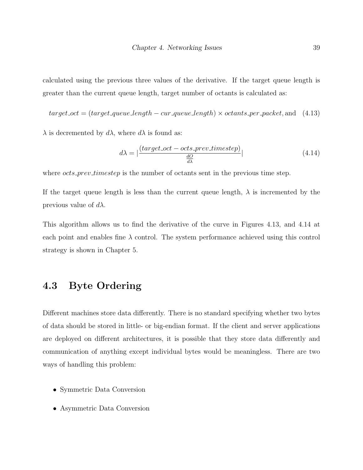calculated using the previous three values of the derivative. If the target queue length is greater than the current queue length, target number of octants is calculated as:

 $target\_oct = (target\_queue\_length - cur\_queue\_length) \times octants\_per\_packet$ , and (4.13)

 $\lambda$  is decremented by  $d\lambda$ , where  $d\lambda$  is found as:

$$
d\lambda = \left| \frac{(target\_oct - octs\_prev\_timestamp)}{\frac{dO}{d\lambda}} \right|
$$
\n(4.14)

where *octs\_prev\_timestep* is the number of octants sent in the previous time step.

If the target queue length is less than the current queue length,  $\lambda$  is incremented by the previous value of  $d\lambda$ .

This algorithm allows us to find the derivative of the curve in Figures [4.13,](#page-50-0) and [4.14](#page-50-1) at each point and enables fine  $\lambda$  control. The system performance achieved using this control strategy is shown in Chapter [5.](#page-54-0)

### 4.3 Byte Ordering

Different machines store data differently. There is no standard specifying whether two bytes of data should be stored in little- or big-endian format. If the client and server applications are deployed on different architectures, it is possible that they store data differently and communication of anything except individual bytes would be meaningless. There are two ways of handling this problem:

- Symmetric Data Conversion
- Asymmetric Data Conversion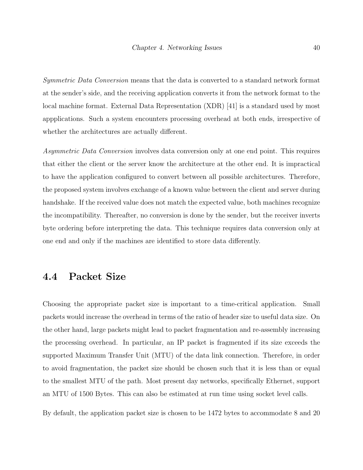Symmetric Data Conversion means that the data is converted to a standard network format at the sender's side, and the receiving application converts it from the network format to the local machine format. External Data Representation (XDR) [\[41\]](#page-75-1) is a standard used by most appplications. Such a system encounters processing overhead at both ends, irrespective of whether the architectures are actually different.

Asymmetric Data Conversion involves data conversion only at one end point. This requires that either the client or the server know the architecture at the other end. It is impractical to have the application configured to convert between all possible architectures. Therefore, the proposed system involves exchange of a known value between the client and server during handshake. If the received value does not match the expected value, both machines recognize the incompatibility. Thereafter, no conversion is done by the sender, but the receiver inverts byte ordering before interpreting the data. This technique requires data conversion only at one end and only if the machines are identified to store data differently.

#### 4.4 Packet Size

Choosing the appropriate packet size is important to a time-critical application. Small packets would increase the overhead in terms of the ratio of header size to useful data size. On the other hand, large packets might lead to packet fragmentation and re-assembly increasing the processing overhead. In particular, an IP packet is fragmented if its size exceeds the supported Maximum Transfer Unit (MTU) of the data link connection. Therefore, in order to avoid fragmentation, the packet size should be chosen such that it is less than or equal to the smallest MTU of the path. Most present day networks, specifically Ethernet, support an MTU of 1500 Bytes. This can also be estimated at run time using socket level calls.

By default, the application packet size is chosen to be 1472 bytes to accommodate 8 and 20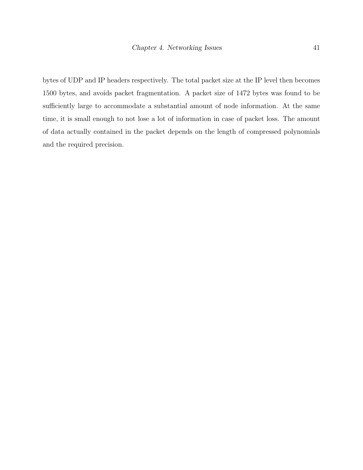bytes of UDP and IP headers respectively. The total packet size at the IP level then becomes 1500 bytes, and avoids packet fragmentation. A packet size of 1472 bytes was found to be sufficiently large to accommodate a substantial amount of node information. At the same time, it is small enough to not lose a lot of information in case of packet loss. The amount of data actually contained in the packet depends on the length of compressed polynomials and the required precision.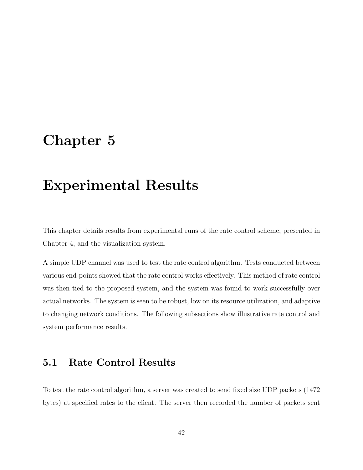### <span id="page-54-0"></span>Chapter 5

## Experimental Results

This chapter details results from experimental runs of the rate control scheme, presented in Chapter [4,](#page-37-0) and the visualization system.

A simple UDP channel was used to test the rate control algorithm. Tests conducted between various end-points showed that the rate control works effectively. This method of rate control was then tied to the proposed system, and the system was found to work successfully over actual networks. The system is seen to be robust, low on its resource utilization, and adaptive to changing network conditions. The following subsections show illustrative rate control and system performance results.

### 5.1 Rate Control Results

To test the rate control algorithm, a server was created to send fixed size UDP packets (1472 bytes) at specified rates to the client. The server then recorded the number of packets sent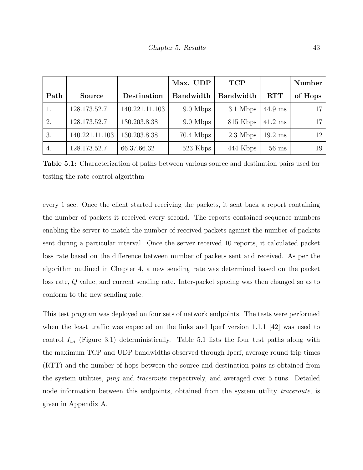|      |                |                | Max. UDP         | <b>TCP</b>       |                   | Number  |
|------|----------------|----------------|------------------|------------------|-------------------|---------|
| Path | <b>Source</b>  | Destination    | <b>Bandwidth</b> | <b>Bandwidth</b> | <b>RTT</b>        | of Hops |
|      | 128.173.52.7   | 140.221.11.103 | 9.0 Mbps         | 3.1 Mbps         | $44.9$ ms         | 17      |
| 2.   | 128.173.52.7   | 130.203.8.38   | 9.0 Mbps         | 815 Kbps         | $41.2 \text{ ms}$ | 17      |
| 3.   | 140.221.11.103 | 130.203.8.38   | $70.4$ Mbps      | 2.3 Mbps         | $19.2 \text{ ms}$ | 12      |
| 4.   | 128.173.52.7   | 66.37.66.32    | 523 Kbps         | 444 Kbps         | $56$ ms           | 19      |

<span id="page-55-0"></span>Table 5.1: Characterization of paths between various source and destination pairs used for testing the rate control algorithm

every 1 sec. Once the client started receiving the packets, it sent back a report containing the number of packets it received every second. The reports contained sequence numbers enabling the server to match the number of received packets against the number of packets sent during a particular interval. Once the server received 10 reports, it calculated packet loss rate based on the difference between number of packets sent and received. As per the algorithm outlined in Chapter [4,](#page-37-0) a new sending rate was determined based on the packet loss rate, Q value, and current sending rate. Inter-packet spacing was then changed so as to conform to the new sending rate.

This test program was deployed on four sets of network endpoints. The tests were performed when the least traffic was expected on the links and Iperf version 1.1.1 [\[42\]](#page-75-2) was used to control  $I_{wi}$  (Figure [3.1\)](#page-29-0) deterministically. Table [5.1](#page-55-0) lists the four test paths along with the maximum TCP and UDP bandwidths observed through Iperf, average round trip times (RTT) and the number of hops between the source and destination pairs as obtained from the system utilities, ping and traceroute respectively, and averaged over 5 runs. Detailed node information between this endpoints, obtained from the system utility *traceroute*, is given in Appendix [A.](#page-76-0)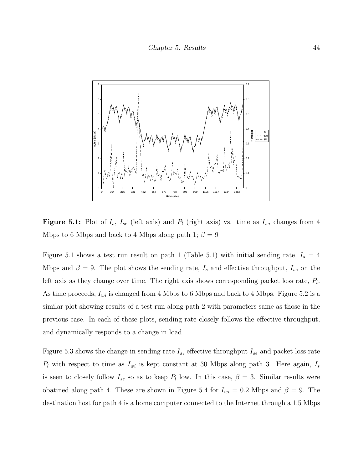

<span id="page-56-0"></span>**Figure 5.1:** Plot of  $I_s$ ,  $I_{se}$  (left axis) and  $P_l$  (right axis) vs. time as  $I_{wi}$  changes from 4 Mbps to 6 Mbps and back to 4 Mbps along path 1;  $\beta = 9$ 

Figure [5.1](#page-56-0) shows a test run result on path 1 (Table [5.1\)](#page-55-0) with initial sending rate,  $I_s = 4$ Mbps and  $\beta = 9$ . The plot shows the sending rate,  $I_s$  and effective throughput,  $I_{se}$  on the left axis as they change over time. The right axis shows corresponding packet loss rate,  $P_l$ . As time proceeds,  $I_{wi}$  is changed from 4 Mbps to 6 Mbps and back to 4 Mbps. Figure [5.2](#page-57-0) is a similar plot showing results of a test run along path 2 with parameters same as those in the previous case. In each of these plots, sending rate closely follows the effective throughput, and dynamically responds to a change in load.

Figure [5.3](#page-57-1) shows the change in sending rate  $I_s$ , effective throughput  $I_{se}$  and packet loss rate  $P_l$  with respect to time as  $I_{wi}$  is kept constant at 30 Mbps along path 3. Here again,  $I_s$ is seen to closely follow  $I_{se}$  so as to keep  $P_l$  low. In this case,  $\beta = 3$ . Similar results were obatined along path 4. These are shown in Figure [5.4](#page-58-0) for  $I_{wi} = 0.2$  Mbps and  $\beta = 9$ . The destination host for path 4 is a home computer connected to the Internet through a 1.5 Mbps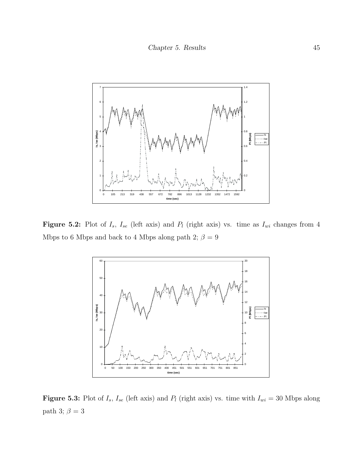

Figure 5.2: Plot of  $I_s$ ,  $I_{se}$  (left axis) and  $P_l$  (right axis) vs. time as  $I_{wi}$  changes from 4 Mbps to 6 Mbps and back to 4 Mbps along path 2;  $\beta$  = 9

<span id="page-57-0"></span>

<span id="page-57-1"></span>**Figure 5.3:** Plot of  $I_s$ ,  $I_{se}$  (left axis) and  $P_l$  (right axis) vs. time with  $I_{wi} = 30$  Mbps along path 3; $\beta$  = 3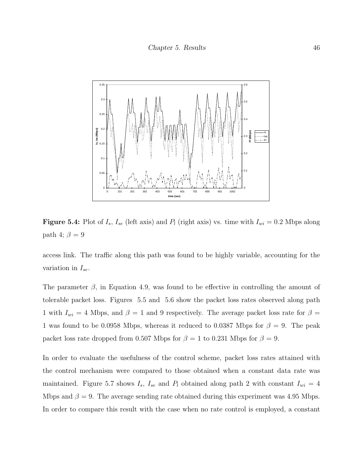

<span id="page-58-0"></span>**Figure 5.4:** Plot of  $I_s$ ,  $I_{se}$  (left axis) and  $P_l$  (right axis) vs. time with  $I_{wi} = 0.2$  Mbps along path 4;  $\beta = 9$ 

access link. The traffic along this path was found to be highly variable, accounting for the variation in  $I_{se}$ .

The parameter  $\beta$ , in Equation [4.9,](#page-41-1) was found to be effective in controlling the amount of tolerable packet loss. Figures [5.5](#page-59-0) and [5.6](#page-59-1) show the packet loss rates observed along path 1 with  $I_{wi} = 4$  Mbps, and  $\beta = 1$  and 9 respectively. The average packet loss rate for  $\beta =$ 1 was found to be 0.0958 Mbps, whereas it reduced to 0.0387 Mbps for  $\beta = 9$ . The peak packet loss rate dropped from 0.507 Mbps for  $\beta = 1$  to 0.231 Mbps for  $\beta = 9$ .

In order to evaluate the usefulness of the control scheme, packet loss rates attained with the control mechanism were compared to those obtained when a constant data rate was maintained. Figure [5.7](#page-60-0) shows  $I_s$ ,  $I_{se}$  and  $P_l$  obtained along path 2 with constant  $I_{wi} = 4$ Mbps and  $\beta = 9$ . The average sending rate obtained during this experiment was 4.95 Mbps. In order to compare this result with the case when no rate control is employed, a constant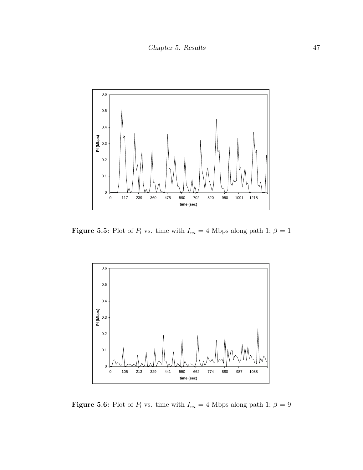

**Figure 5.5:** Plot of  $P_l$  vs. time with  $I_{wi} = 4$  Mbps along path 1;  $\beta = 1$ 

<span id="page-59-0"></span>

<span id="page-59-1"></span>**Figure 5.6:** Plot of  $P_l$  vs. time with  $I_{wi} = 4$  Mbps along path 1;  $\beta = 9$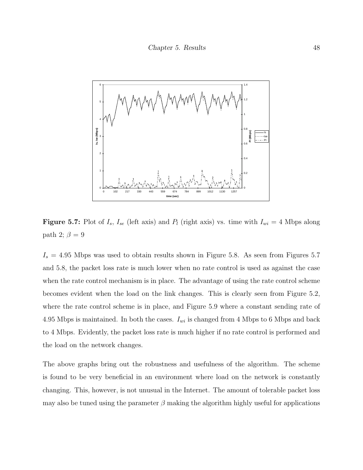

<span id="page-60-0"></span>**Figure 5.7:** Plot of  $I_s$ ,  $I_{se}$  (left axis) and  $P_l$  (right axis) vs. time with  $I_{wi} = 4$  Mbps along path 2;  $\beta = 9$ 

 $I_s = 4.95$  Mbps was used to obtain results shown in Figure [5.8.](#page-61-0) As seen from Figures [5.7](#page-60-0) and [5.8,](#page-61-0) the packet loss rate is much lower when no rate control is used as against the case when the rate control mechanism is in place. The advantage of using the rate control scheme becomes evident when the load on the link changes. This is clearly seen from Figure [5.2,](#page-57-0) where the rate control scheme is in place, and Figure [5.9](#page-61-1) where a constant sending rate of 4.95 Mbps is maintained. In both the cases.  $I_{wi}$  is changed from 4 Mbps to 6 Mbps and back to 4 Mbps. Evidently, the packet loss rate is much higher if no rate control is performed and the load on the network changes.

The above graphs bring out the robustness and usefulness of the algorithm. The scheme is found to be very beneficial in an environment where load on the network is constantly changing. This, however, is not unusual in the Internet. The amount of tolerable packet loss may also be tuned using the parameter  $\beta$  making the algorithm highly useful for applications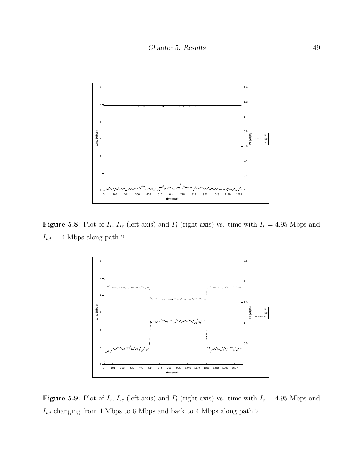

Figure 5.8: Plot of  $I_s$ ,  $I_{se}$  (left axis) and  $P_l$  (right axis) vs. time with  $I_s = 4.95$  Mbps and  $I_{wi} = 4 \ \mathrm{Mbps}$  along path  $2$ 

<span id="page-61-0"></span>

<span id="page-61-1"></span>Figure 5.9: Plot of  $I_s$ ,  $I_{se}$  (left axis) and  $P_l$  (right axis) vs. time with  $I_s = 4.95$  Mbps and  $\mathcal{I}_{wi}$  changing from 4 Mbps to 6 Mbps and back to 4 Mbps along path 2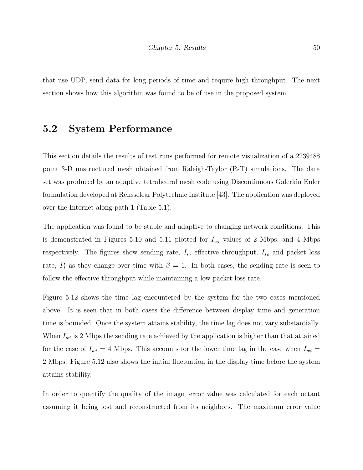that use UDP, send data for long periods of time and require high throughput. The next section shows how this algorithm was found to be of use in the proposed system.

#### 5.2 System Performance

This section details the results of test runs performed for remote visualization of a 2239488 point 3-D unstructured mesh obtained from Raleigh-Taylor (R-T) simulations. The data set was produced by an adaptive tetrahedral mesh code using Discontinuous Galerkin Euler formulation developed at Rensselear Polytechnic Institute [\[43\]](#page-75-3). The application was deployed over the Internet along path 1 (Table [5.1\)](#page-55-0).

The application was found to be stable and adaptive to changing network conditions. This is demonstrated in Figures [5.10](#page-63-0) and [5.11](#page-63-1) plotted for  $I_{wi}$  values of 2 Mbps, and 4 Mbps respectively. The figures show sending rate,  $I_s$ , effective throughput,  $I_{se}$  and packet loss rate,  $P_l$  as they change over time with  $\beta = 1$ . In both cases, the sending rate is seen to follow the effective throughput while maintaining a low packet loss rate.

Figure [5.12](#page-64-0) shows the time lag encountered by the system for the two cases mentioned above. It is seen that in both cases the difference between display time and generation time is bounded. Once the system attains stability, the time lag does not vary substantially. When  $I_{wi}$  is 2 Mbps the sending rate achieved by the application is higher than that attained for the case of  $I_{wi} = 4$  Mbps. This accounts for the lower time lag in the case when  $I_{wi} =$ 2 Mbps. Figure [5.12](#page-64-0) also shows the initial fluctuation in the display time before the system attains stability.

In order to quantify the quality of the image, error value was calculated for each octant assuming it being lost and reconstructed from its neighbors. The maximum error value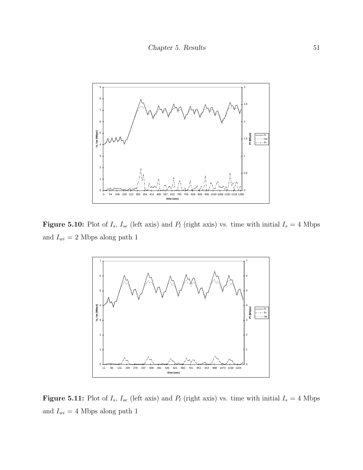

Figure 5.10: Plot of  $I_s$ ,  $I_{se}$  (left axis) and  $P_l$  (right axis) vs. time with initial  $I_s = 4$  Mbps and  $I_{wi}$  = 2 Mbps along path  $1\,$ 

<span id="page-63-0"></span>

<span id="page-63-1"></span>Figure 5.11: Plot of  $I_s$ ,  $I_{se}$  (left axis) and  $P_l$  (right axis) vs. time with initial  $I_s = 4$  Mbps and  $I_{wi} = 4$  Mbps along path 1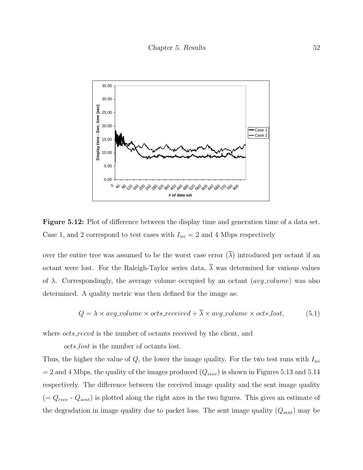

<span id="page-64-0"></span>Figure 5.12: Plot of difference between the display time and generation time of a data set. Case 1, and 2 correspond to test cases with  $I_{wi} = 2$  and 4 Mbps respectively

over the entire tree was assumed to be the worst case error  $(\overline{\lambda})$  introduced per octant if an octant were lost. For the Raleigh-Taylor series data,  $\overline{\lambda}$  was determined for various values of  $\lambda$ . Correspondingly, the average volume occupied by an octant (*avg\_volume*) was also determined. A quality metric was then defined for the image as:

$$
Q = \lambda \times avg\_volume \times octs\_received + \overline{\lambda} \times avg\_volume \times octs\_lost,
$$
 (5.1)

where *octs\_recvd* is the number of octants received by the client, and

octs lost is the number of octants lost.

Thus, the higher the value of  $Q$ , the lower the image quality. For the two test runs with  $I_{wi}$  $= 2$  and 4 Mbps, the quality of the images produced  $(Q_{recv})$  is shown in Figures [5.13](#page-65-0) and [5.14](#page-66-0) respectively. The difference between the received image quality and the sent image quality  $(= Q_{recv} - Q_{sent})$  is plotted along the right axes in the two figures. This gives an estimate of the degradation in image quality due to packet loss. The sent image quality  $(Q_{sent})$  may be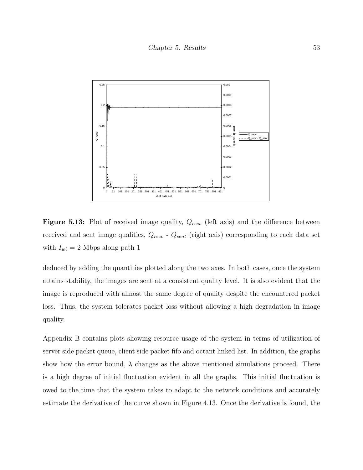

<span id="page-65-0"></span>**Figure 5.13:** Plot of received image quality,  $Q_{recv}$  (left axis) and the difference between received and sent image qualities,  $Q_{recv}$  -  $Q_{sent}$  (right axis) corresponding to each data set with  $I_{wi} = 2$  Mbps along path 1

deduced by adding the quantities plotted along the two axes. In both cases, once the system attains stability, the images are sent at a consistent quality level. It is also evident that the image is reproduced with almost the same degree of quality despite the encountered packet loss. Thus, the system tolerates packet loss without allowing a high degradation in image quality.

Appendix [B](#page-80-0) contains plots showing resource usage of the system in terms of utilization of server side packet queue, client side packet fifo and octant linked list. In addition, the graphs show how the error bound,  $\lambda$  changes as the above mentioned simulations proceed. There is a high degree of initial fluctuation evident in all the graphs. This initial fluctuation is owed to the time that the system takes to adapt to the network conditions and accurately estimate the derivative of the curve shown in Figure [4.13.](#page-50-0) Once the derivative is found, the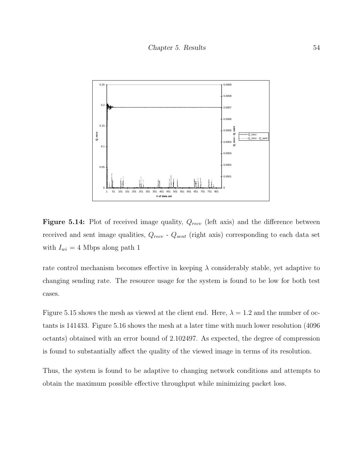

<span id="page-66-0"></span>**Figure 5.14:** Plot of received image quality,  $Q_{recv}$  (left axis) and the difference between received and sent image qualities,  $Q_{recv}$  -  $Q_{sent}$  (right axis) corresponding to each data set with  $I_{wi} = 4$  Mbps along path 1

rate control mechanism becomes effective in keeping  $\lambda$  considerably stable, yet adaptive to changing sending rate. The resource usage for the system is found to be low for both test cases.

Figure [5.15](#page-67-0) shows the mesh as viewed at the client end. Here,  $\lambda = 1.2$  and the number of octants is 141433. Figure [5.16](#page-67-1) shows the mesh at a later time with much lower resolution (4096 octants) obtained with an error bound of 2.102497. As expected, the degree of compression is found to substantially affect the quality of the viewed image in terms of its resolution.

Thus, the system is found to be adaptive to changing network conditions and attempts to obtain the maximum possible effective throughput while minimizing packet loss.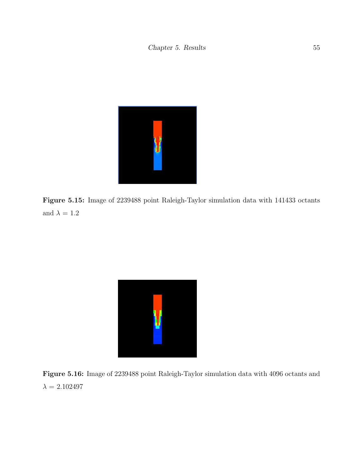

Figure 5.15: Image of 2239488 point Raleigh-Taylor simulation data with 141433 octants and  $\lambda=1.2$ 

<span id="page-67-1"></span><span id="page-67-0"></span>

Figure 5.16: Image of 2239488 point Raleigh-Taylor simulation data with 4096 octants and  $\lambda=2.102497$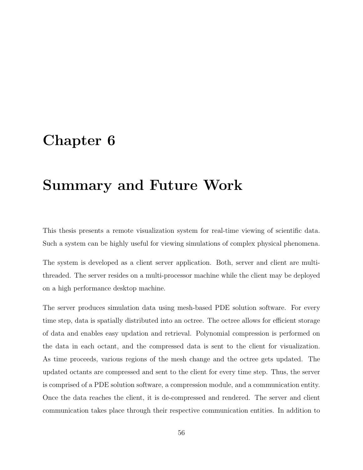### <span id="page-68-0"></span>Chapter 6

## Summary and Future Work

This thesis presents a remote visualization system for real-time viewing of scientific data. Such a system can be highly useful for viewing simulations of complex physical phenomena.

The system is developed as a client server application. Both, server and client are multithreaded. The server resides on a multi-processor machine while the client may be deployed on a high performance desktop machine.

The server produces simulation data using mesh-based PDE solution software. For every time step, data is spatially distributed into an octree. The octree allows for efficient storage of data and enables easy updation and retrieval. Polynomial compression is performed on the data in each octant, and the compressed data is sent to the client for visualization. As time proceeds, various regions of the mesh change and the octree gets updated. The updated octants are compressed and sent to the client for every time step. Thus, the server is comprised of a PDE solution software, a compression module, and a communication entity. Once the data reaches the client, it is de-compressed and rendered. The server and client communication takes place through their respective communication entities. In addition to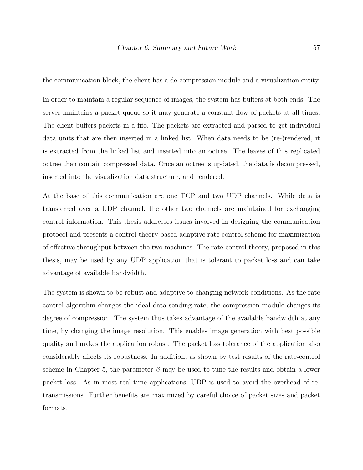the communication block, the client has a de-compression module and a visualization entity.

In order to maintain a regular sequence of images, the system has buffers at both ends. The server maintains a packet queue so it may generate a constant flow of packets at all times. The client buffers packets in a fifo. The packets are extracted and parsed to get individual data units that are then inserted in a linked list. When data needs to be (re-)rendered, it is extracted from the linked list and inserted into an octree. The leaves of this replicated octree then contain compressed data. Once an octree is updated, the data is decompressed, inserted into the visualization data structure, and rendered.

At the base of this communication are one TCP and two UDP channels. While data is transferred over a UDP channel, the other two channels are maintained for exchanging control information. This thesis addresses issues involved in designing the communication protocol and presents a control theory based adaptive rate-control scheme for maximization of effective throughput between the two machines. The rate-control theory, proposed in this thesis, may be used by any UDP application that is tolerant to packet loss and can take advantage of available bandwidth.

The system is shown to be robust and adaptive to changing network conditions. As the rate control algorithm changes the ideal data sending rate, the compression module changes its degree of compression. The system thus takes advantage of the available bandwidth at any time, by changing the image resolution. This enables image generation with best possible quality and makes the application robust. The packet loss tolerance of the application also considerably affects its robustness. In addition, as shown by test results of the rate-control scheme in Chapter [5,](#page-54-0) the parameter  $\beta$  may be used to tune the results and obtain a lower packet loss. As in most real-time applications, UDP is used to avoid the overhead of retransmissions. Further benefits are maximized by careful choice of packet sizes and packet formats.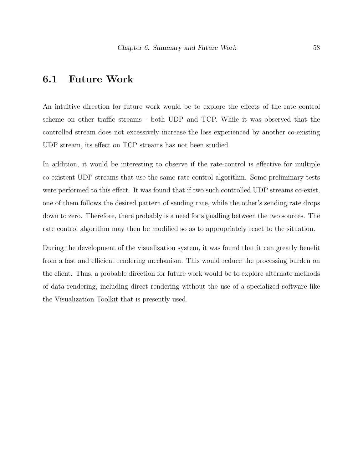#### 6.1 Future Work

An intuitive direction for future work would be to explore the effects of the rate control scheme on other traffic streams - both UDP and TCP. While it was observed that the controlled stream does not excessively increase the loss experienced by another co-existing UDP stream, its effect on TCP streams has not been studied.

In addition, it would be interesting to observe if the rate-control is effective for multiple co-existent UDP streams that use the same rate control algorithm. Some preliminary tests were performed to this effect. It was found that if two such controlled UDP streams co-exist, one of them follows the desired pattern of sending rate, while the other's sending rate drops down to zero. Therefore, there probably is a need for signalling between the two sources. The rate control algorithm may then be modified so as to appropriately react to the situation.

During the development of the visualization system, it was found that it can greatly benefit from a fast and efficient rendering mechanism. This would reduce the processing burden on the client. Thus, a probable direction for future work would be to explore alternate methods of data rendering, including direct rendering without the use of a specialized software like the Visualization Toolkit that is presently used.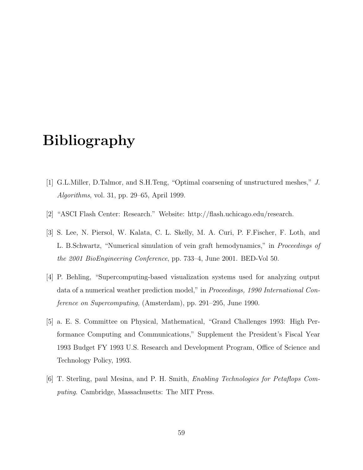# Bibliography

- [1] G.L.Miller, D.Talmor, and S.H.Teng, "Optimal coarsening of unstructured meshes," J. Algorithms, vol. 31, pp. 29–65, April 1999.
- [2] "ASCI Flash Center: Research." Website: http://flash.uchicago.edu/research.
- [3] S. Lee, N. Piersol, W. Kalata, C. L. Skelly, M. A. Curi, P. F.Fischer, F. Loth, and L. B.Schwartz, "Numerical simulation of vein graft hemodynamics," in Proceedings of the 2001 BioEngineering Conference, pp. 733–4, June 2001. BED-Vol 50.
- [4] P. Behling, "Supercomputing-based visualization systems used for analyzing output data of a numerical weather prediction model," in Proceedings, 1990 International Conference on Supercomputing, (Amsterdam), pp. 291–295, June 1990.
- [5] a. E. S. Committee on Physical, Mathematical, "Grand Challenges 1993: High Performance Computing and Communications," Supplement the President's Fiscal Year 1993 Budget FY 1993 U.S. Research and Development Program, Office of Science and Technology Policy, 1993.
- [6] T. Sterling, paul Mesina, and P. H. Smith, Enabling Technologies for Petaflops Computing. Cambridge, Massachusetts: The MIT Press.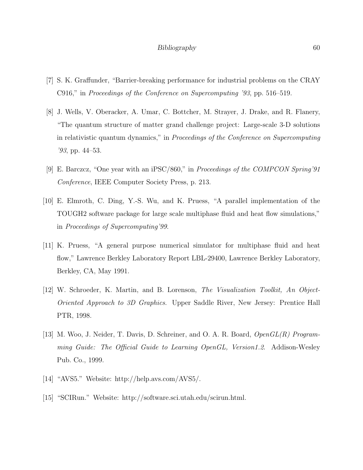- [7] S. K. Graffunder, "Barrier-breaking performance for industrial problems on the CRAY C916," in Proceedings of the Conference on Supercomputing '93, pp. 516–519.
- [8] J. Wells, V. Oberacker, A. Umar, C. Bottcher, M. Strayer, J. Drake, and R. Flanery, "The quantum structure of matter grand challenge project: Large-scale 3-D solutions in relativistic quantum dynamics," in Proceedings of the Conference on Supercomputing '93, pp. 44–53.
- [9] E. Barczcz, "One year with an iPSC/860," in Proceedings of the COMPCON Spring'91 Conference, IEEE Computer Society Press, p. 213.
- [10] E. Elmroth, C. Ding, Y.-S. Wu, and K. Pruess, "A parallel implementation of the TOUGH2 software package for large scale multiphase fluid and heat flow simulations," in Proceedings of Supercomputing'99.
- [11] K. Pruess, "A general purpose numerical simulator for multiphase fluid and heat flow," Lawrence Berkley Laboratory Report LBL-29400, Lawrence Berkley Laboratory, Berkley, CA, May 1991.
- [12] W. Schroeder, K. Martin, and B. Lorenson, The Visualization Toolkit, An Object-Oriented Approach to 3D Graphics. Upper Saddle River, New Jersey: Prentice Hall PTR, 1998.
- [13] M. Woo, J. Neider, T. Davis, D. Schreiner, and O. A. R. Board, OpenGL(R) Programming Guide: The Official Guide to Learning OpenGL, Version1.2. Addison-Wesley Pub. Co., 1999.
- [14] "AVS5." Website: http://help.avs.com/AVS5/.
- [15] "SCIRun." Website: http://software.sci.utah.edu/scirun.html.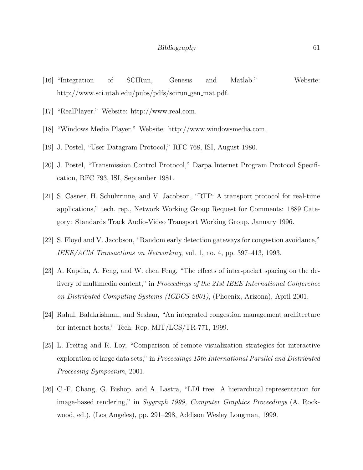- [16] "Integration of SCIRun, Genesis and Matlab." Website: http://www.sci.utah.edu/pubs/pdfs/scirun gen mat.pdf.
- [17] "RealPlayer." Website: http://www.real.com.
- [18] "Windows Media Player." Website: http://www.windowsmedia.com.
- [19] J. Postel, "User Datagram Protocol," RFC 768, ISI, August 1980.
- [20] J. Postel, "Transmission Control Protocol," Darpa Internet Program Protocol Specification, RFC 793, ISI, September 1981.
- [21] S. Casner, H. Schulzrinne, and V. Jacobson, "RTP: A transport protocol for real-time applications," tech. rep., Network Working Group Request for Comments: 1889 Category: Standards Track Audio-Video Transport Working Group, January 1996.
- [22] S. Floyd and V. Jacobson, "Random early detection gateways for congestion avoidance," IEEE/ACM Transactions on Networking, vol. 1, no. 4, pp. 397–413, 1993.
- [23] A. Kapdia, A. Feng, and W. chen Feng, "The effects of inter-packet spacing on the delivery of multimedia content," in Proceedings of the 21st IEEE International Conference on Distributed Computing Systems (ICDCS-2001), (Phoenix, Arizona), April 2001.
- [24] Rahul, Balakrishnan, and Seshan, "An integrated congestion management architecture for internet hosts," Tech. Rep. MIT/LCS/TR-771, 1999.
- [25] L. Freitag and R. Loy, "Comparison of remote visualization strategies for interactive exploration of large data sets," in *Proceedings 15th International Parallel and Distributed* Processing Symposium, 2001.
- [26] C.-F. Chang, G. Bishop, and A. Lastra, "LDI tree: A hierarchical representation for image-based rendering," in *Siggraph 1999, Computer Graphics Proceedings* (A. Rockwood, ed.), (Los Angeles), pp. 291–298, Addison Wesley Longman, 1999.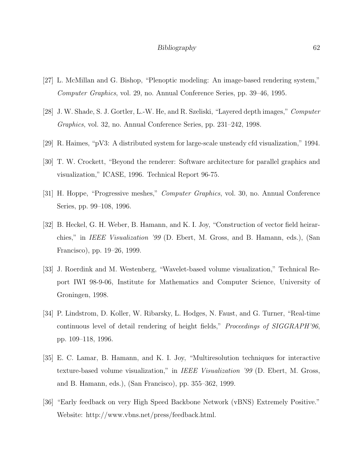- [27] L. McMillan and G. Bishop, "Plenoptic modeling: An image-based rendering system," Computer Graphics, vol. 29, no. Annual Conference Series, pp. 39–46, 1995.
- [28] J. W. Shade, S. J. Gortler, L.-W. He, and R. Szeliski, "Layered depth images," Computer Graphics, vol. 32, no. Annual Conference Series, pp. 231–242, 1998.
- [29] R. Haimes, "pV3: A distributed system for large-scale unsteady cfd visualization," 1994.
- [30] T. W. Crockett, "Beyond the renderer: Software architecture for parallel graphics and visualization," ICASE, 1996. Technical Report 96-75.
- [31] H. Hoppe, "Progressive meshes," Computer Graphics, vol. 30, no. Annual Conference Series, pp. 99–108, 1996.
- [32] B. Heckel, G. H. Weber, B. Hamann, and K. I. Joy, "Construction of vector field heirarchies," in IEEE Visualization '99 (D. Ebert, M. Gross, and B. Hamann, eds.), (San Francisco), pp. 19–26, 1999.
- [33] J. Roerdink and M. Westenberg, "Wavelet-based volume visualization," Technical Report IWI 98-9-06, Institute for Mathematics and Computer Science, University of Groningen, 1998.
- [34] P. Lindstrom, D. Koller, W. Ribarsky, L. Hodges, N. Faust, and G. Turner, "Real-time continuous level of detail rendering of height fields," Proceedings of SIGGRAPH'96, pp. 109–118, 1996.
- [35] E. C. Lamar, B. Hamann, and K. I. Joy, "Multiresolution techniques for interactive texture-based volume visualization," in IEEE Visualization '99 (D. Ebert, M. Gross, and B. Hamann, eds.), (San Francisco), pp. 355–362, 1999.
- [36] "Early feedback on very High Speed Backbone Network (vBNS) Extremely Positive." Website: http://www.vbns.net/press/feedback.html.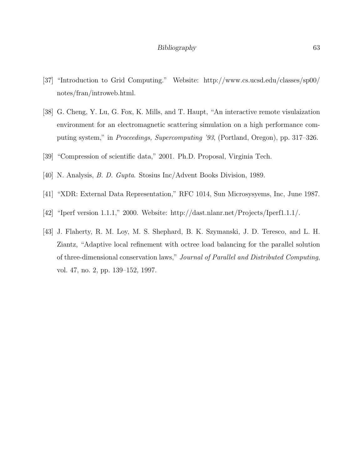- [37] "Introduction to Grid Computing." Website: http://www.cs.ucsd.edu/classes/sp00/ notes/fran/introweb.html.
- [38] G. Cheng, Y. Lu, G. Fox, K. Mills, and T. Haupt, "An interactive remote visulaization environment for an electromagnetic scattering simulation on a high performance computing system," in Proceedings, Supercomputing '93, (Portland, Oregon), pp. 317–326.
- [39] "Compression of scientific data," 2001. Ph.D. Proposal, Virginia Tech.
- [40] N. Analysis, B. D. Gupta. Stosius Inc/Advent Books Division, 1989.
- [41] "XDR: External Data Representation," RFC 1014, Sun Microsysyems, Inc, June 1987.
- [42] "Iperf version 1.1.1," 2000. Website: http://dast.nlanr.net/Projects/Iperf1.1.1/.
- [43] J. Flaherty, R. M. Loy, M. S. Shephard, B. K. Szymanski, J. D. Teresco, and L. H. Ziantz, "Adaptive local refinement with octree load balancing for the parallel solution of three-dimensional conservation laws," Journal of Parallel and Distributed Computing, vol. 47, no. 2, pp. 139–152, 1997.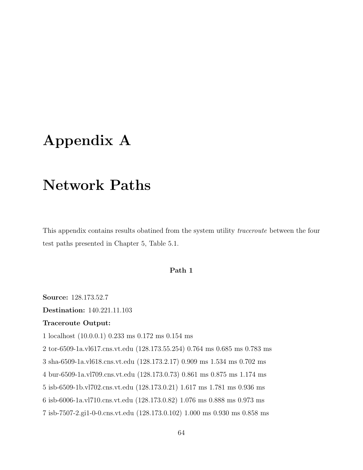# <span id="page-76-0"></span>Appendix A

# Network Paths

This appendix contains results obatined from the system utility traceroute between the four test paths presented in Chapter [5,](#page-54-0) Table [5.1.](#page-55-0)

## Path 1

Source: 128.173.52.7

Destination: 140.221.11.103

### Traceroute Output:

1 localhost (10.0.0.1) 0.233 ms 0.172 ms 0.154 ms

2 tor-6509-1a.vl617.cns.vt.edu (128.173.55.254) 0.764 ms 0.685 ms 0.783 ms

3 sha-6509-1a.vl618.cns.vt.edu (128.173.2.17) 0.909 ms 1.534 ms 0.702 ms

4 bur-6509-1a.vl709.cns.vt.edu (128.173.0.73) 0.861 ms 0.875 ms 1.174 ms

5 isb-6509-1b.vl702.cns.vt.edu (128.173.0.21) 1.617 ms 1.781 ms 0.936 ms

6 isb-6006-1a.vl710.cns.vt.edu (128.173.0.82) 1.076 ms 0.888 ms 0.973 ms

7 isb-7507-2.gi1-0-0.cns.vt.edu (128.173.0.102) 1.000 ms 0.930 ms 0.858 ms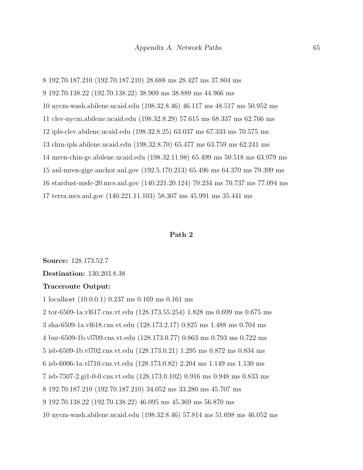8 192.70.187.210 (192.70.187.210) 28.688 ms 28.427 ms 37.804 ms 9 192.70.138.22 (192.70.138.22) 38.909 ms 38.889 ms 44.966 ms 10 nycm-wash.abilene.ucaid.edu (198.32.8.46) 46.117 ms 48.517 ms 50.952 ms 11 clev-nycm.abilene.ucaid.edu (198.32.8.29) 57.615 ms 68.337 ms 62.766 ms 12 ipls-clev.abilene.ucaid.edu (198.32.8.25) 63.037 ms 67.333 ms 70.575 ms 13 chin-ipls.abilene.ucaid.edu (198.32.8.70) 65.477 ms 63.759 ms 62.241 ms 14 mren-chin-ge.abilene.ucaid.edu (198.32.11.98) 65.499 ms 50.518 ms 63.979 ms 15 anl-mren-gige.anchor.anl.gov (192.5.170.213) 65.496 ms 64.370 ms 79.399 ms 16 stardust-msfc-20.mcs.anl.gov (140.221.20.124) 70.234 ms 70.737 ms 77.094 ms 17 terra.mcs.anl.gov (140.221.11.103) 58.307 ms 45.991 ms 35.441 ms

#### Path 2

Source: 128.173.52.7

Destination: 130.203.8.38

#### Traceroute Output:

1 localhost (10.0.0.1) 0.237 ms 0.169 ms 0.161 ms 2 tor-6509-1a.vl617.cns.vt.edu (128.173.55.254) 1.828 ms 0.699 ms 0.675 ms 3 sha-6509-1a.vl618.cns.vt.edu (128.173.2.17) 0.825 ms 1.488 ms 0.704 ms 4 bur-6509-1b.vl709.cns.vt.edu (128.173.0.77) 0.863 ms 0.793 ms 0.722 ms 5 isb-6509-1b.vl702.cns.vt.edu (128.173.0.21) 1.295 ms 0.872 ms 0.834 ms 6 isb-6006-1a.vl710.cns.vt.edu (128.173.0.82) 2.204 ms 1.149 ms 1.130 ms 7 isb-7507-2.gi1-0-0.cns.vt.edu (128.173.0.102) 0.916 ms 0.948 ms 0.833 ms 8 192.70.187.210 (192.70.187.210) 34.052 ms 33.280 ms 45.707 ms 9 192.70.138.22 (192.70.138.22) 46.095 ms 45.369 ms 56.870 ms 10 nycm-wash.abilene.ucaid.edu (198.32.8.46) 57.814 ms 51.698 ms 46.052 ms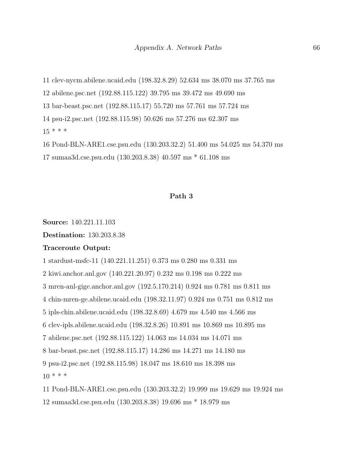11 clev-nycm.abilene.ucaid.edu (198.32.8.29) 52.634 ms 38.070 ms 37.765 ms

12 abilene.psc.net (192.88.115.122) 39.795 ms 39.472 ms 49.690 ms

13 bar-beast.psc.net (192.88.115.17) 55.720 ms 57.761 ms 57.724 ms

14 psu-i2.psc.net (192.88.115.98) 50.626 ms 57.276 ms 62.307 ms

 $15$  \* \* \*

16 Pond-BLN-ARE1.cse.psu.edu (130.203.32.2) 51.400 ms 54.025 ms 54.370 ms

17 sumaa3d.cse.psu.edu (130.203.8.38) 40.597 ms \* 61.108 ms

## Path 3

Source: 140.221.11.103

Destination: 130.203.8.38

## Traceroute Output:

1 stardust-msfc-11 (140.221.11.251) 0.373 ms 0.280 ms 0.331 ms

2 kiwi.anchor.anl.gov (140.221.20.97) 0.232 ms 0.198 ms 0.222 ms

3 mren-anl-gige.anchor.anl.gov (192.5.170.214) 0.924 ms 0.781 ms 0.811 ms

4 chin-mren-ge.abilene.ucaid.edu (198.32.11.97) 0.924 ms 0.751 ms 0.812 ms

5 ipls-chin.abilene.ucaid.edu (198.32.8.69) 4.679 ms 4.540 ms 4.566 ms

6 clev-ipls.abilene.ucaid.edu (198.32.8.26) 10.891 ms 10.869 ms 10.895 ms

7 abilene.psc.net (192.88.115.122) 14.063 ms 14.034 ms 14.071 ms

8 bar-beast.psc.net (192.88.115.17) 14.286 ms 14.271 ms 14.180 ms

9 psu-i2.psc.net (192.88.115.98) 18.047 ms 18.610 ms 18.398 ms

 $10 * * * *$ 

11 Pond-BLN-ARE1.cse.psu.edu (130.203.32.2) 19.999 ms 19.629 ms 19.924 ms

12 sumaa3d.cse.psu.edu (130.203.8.38) 19.696 ms \* 18.979 ms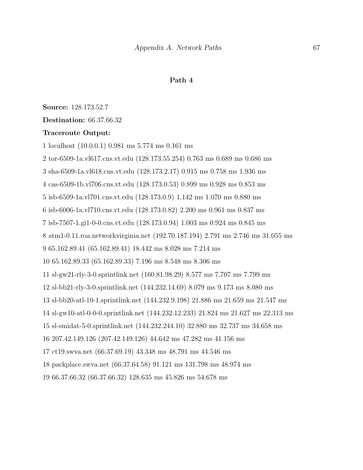### Path 4

Source: 128.173.52.7

Destination: 66.37.66.32

#### Traceroute Output:

1 localhost (10.0.0.1) 0.981 ms 5.774 ms 0.161 ms 2 tor-6509-1a.vl617.cns.vt.edu (128.173.55.254) 0.763 ms 0.689 ms 0.686 ms 3 sha-6509-1a.vl618.cns.vt.edu (128.173.2.17) 0.915 ms 0.758 ms 1.936 ms 4 cas-6509-1b.vl706.cns.vt.edu (128.173.0.53) 0.899 ms 0.928 ms 0.853 ms 5 isb-6509-1a.vl701.cns.vt.edu (128.173.0.9) 1.142 ms 1.070 ms 0.880 ms 6 isb-6006-1a.vl710.cns.vt.edu (128.173.0.82) 2.200 ms 0.961 ms 0.837 ms 7 isb-7507-1.gi1-0-0.cns.vt.edu (128.173.0.94) 1.003 ms 0.924 ms 0.845 ms 8 atm1-0.11.roa.networkvirginia.net (192.70.187.194) 2.791 ms 2.746 ms 31.055 ms 9 65.162.89.41 (65.162.89.41) 18.442 ms 8.028 ms 7.214 ms 10 65.162.89.33 (65.162.89.33) 7.196 ms 8.548 ms 8.306 ms 11 sl-gw21-rly-3-0.sprintlink.net (160.81.98.29) 8.577 ms 7.707 ms 7.799 ms 12 sl-bb21-rly-3-0.sprintlink.net (144.232.14.69) 8.079 ms 9.173 ms 8.080 ms 13 sl-bb20-atl-10-1.sprintlink.net (144.232.9.198) 21.886 ms 21.659 ms 21.547 ms 14 sl-gw10-atl-0-0-0.sprintlink.net (144.232.12.233) 21.824 ms 21.627 ms 22.313 ms 15 sl-smidat-5-0.sprintlink.net (144.232.244.10) 32.880 ms 32.737 ms 34.658 ms 16 207.42.149.126 (207.42.149.126) 44.642 ms 47.282 ms 41.156 ms 17 ct19.swva.net (66.37.69.19) 43.348 ms 48.791 ms 44.546 ms 18 packplace.swva.net (66.37.64.58) 91.121 ms 131.798 ms 48.974 ms 19 66.37.66.32 (66.37.66.32) 128.635 ms 45.826 ms 54.678 ms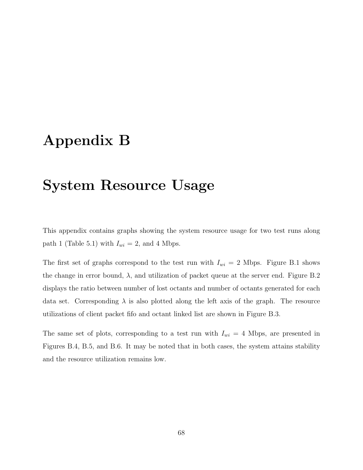# <span id="page-80-0"></span>Appendix B

# System Resource Usage

This appendix contains graphs showing the system resource usage for two test runs along path 1 (Table [5.1\)](#page-55-0) with  $I_{wi} = 2$ , and 4 Mbps.

The first set of graphs correspond to the test run with  $I_{wi} = 2$  Mbps. Figure [B.1](#page-81-0) shows the change in error bound,  $\lambda$ , and utilization of packet queue at the server end. Figure [B.2](#page-81-1) displays the ratio between number of lost octants and number of octants generated for each data set. Corresponding  $\lambda$  is also plotted along the left axis of the graph. The resource utilizations of client packet fifo and octant linked list are shown in Figure [B.3.](#page-82-0)

The same set of plots, corresponding to a test run with  $I_{wi} = 4$  Mbps, are presented in Figures [B.4,](#page-82-1) [B.5,](#page-83-0) and [B.6.](#page-83-1) It may be noted that in both cases, the system attains stability and the resource utilization remains low.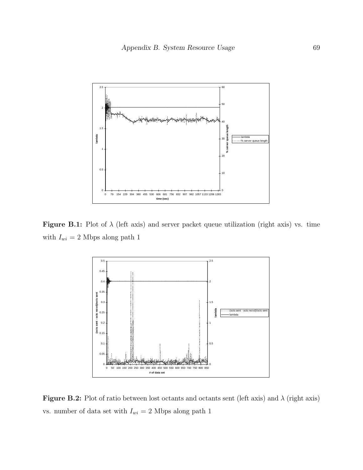

Figure B.1: Plot of  $\lambda$  (left axis) and server packet queue utilization (right axis) vs. time with  $I_{wi} = 2$  Mbps along path 1

<span id="page-81-0"></span>

<span id="page-81-1"></span>Figure B.2: Plot of ratio between lost octants and octants sent (left axis) and  $\lambda$  (right axis) vs. number of data set with  $I_{wi} = 2$  Mbps along path 1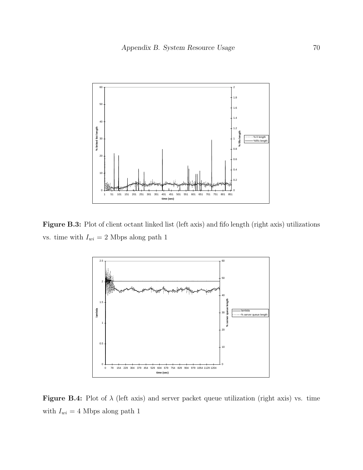

Figure B.3: Plot of client octant linked list (left axis) and fifo length (right axis) utilizations vs. time with  $I_{wi} = 2$  Mbps along path 1

<span id="page-82-0"></span>

<span id="page-82-1"></span>Figure B.4: Plot of  $\lambda$  (left axis) and server packet queue utilization (right axis) vs. time with  $I_{wi} = 4$  Mbps along path 1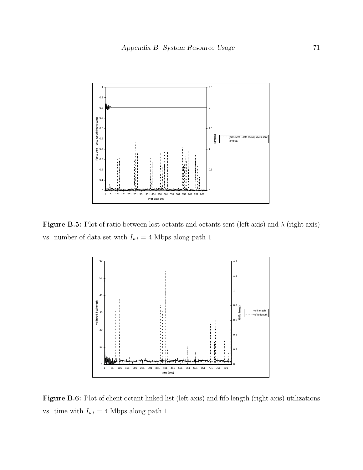

Figure B.5: Plot of ratio between lost octants and octants sent (left axis) and  $\lambda$  (right axis) vs. number of data set with  $I_{wi} = 4$  Mbps along path 1

<span id="page-83-0"></span>

<span id="page-83-1"></span>Figure B.6: Plot of client octant linked list (left axis) and fifo length (right axis) utilizations vs. time with  $I_{wi} = 4$  Mbps along path 1